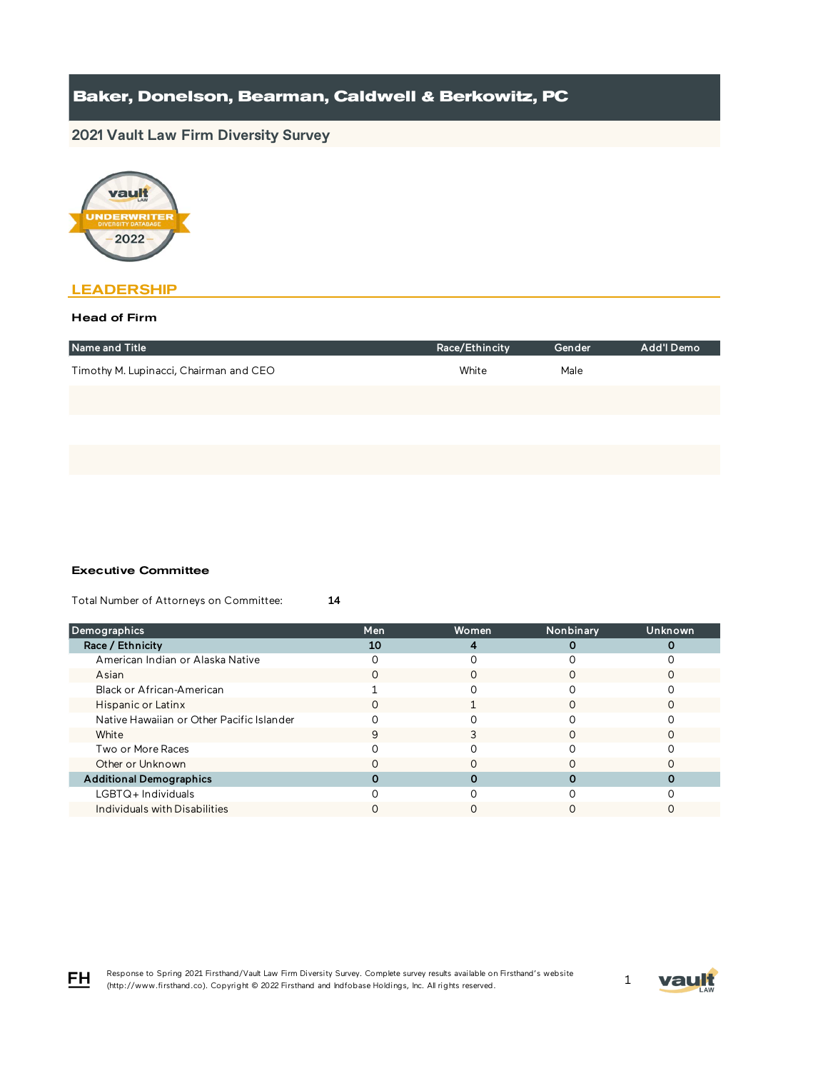# **2021 Vault Law Firm Diversity Survey**



## **LEADERSHIP**

### Head of Firm

| Name and Title                         | Race/Ethincity | Gender | Add'l Demo |
|----------------------------------------|----------------|--------|------------|
| Timothy M. Lupinacci, Chairman and CEO | White          | Male   |            |
|                                        |                |        |            |
|                                        |                |        |            |
|                                        |                |        |            |

#### Executive Committee

Total Number of Attorneys on Committee: 14

| Demographics                              | Men | Women | Nonbinary | Unknown |
|-------------------------------------------|-----|-------|-----------|---------|
| Race / Ethnicity                          | 10  |       |           |         |
| American Indian or Alaska Native          |     |       |           |         |
| Asian                                     |     |       |           |         |
| Black or African-American                 |     |       |           |         |
| Hispanic or Latinx                        |     |       |           |         |
| Native Hawaiian or Other Pacific Islander |     |       |           |         |
| White                                     | 9   |       |           |         |
| Two or More Races                         |     |       |           |         |
| Other or Unknown                          |     |       |           |         |
| <b>Additional Demographics</b>            |     |       |           |         |
| $LGBTQ+$ Individuals                      |     |       |           |         |
| Individuals with Disabilities             |     |       |           |         |



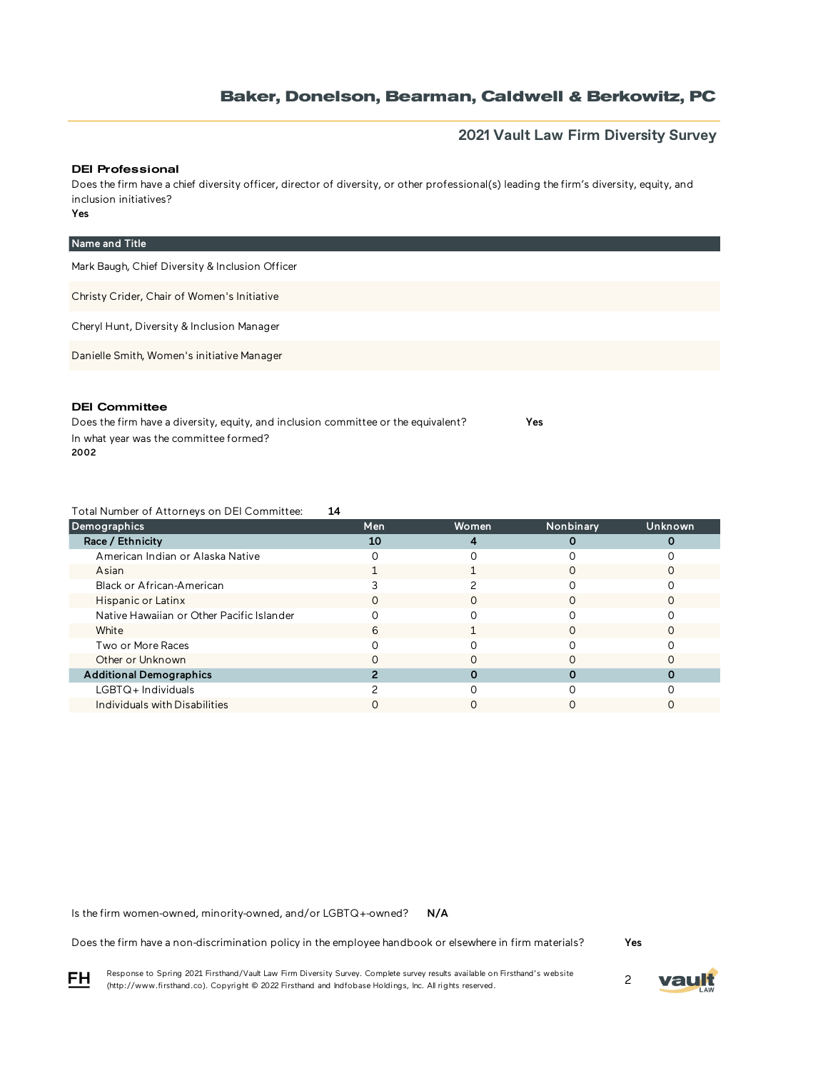## **2021 Vault Law Firm Diversity Survey**

#### DEI Professional

Yes Does the firm have a chief diversity officer, director of diversity, or other professional(s) leading the firm's diversity, equity, and inclusion initiatives?

| Name and Title                                  |
|-------------------------------------------------|
| Mark Baugh, Chief Diversity & Inclusion Officer |
| Christy Crider, Chair of Women's Initiative     |
| Cheryl Hunt, Diversity & Inclusion Manager      |
| Danielle Smith, Women's initiative Manager      |
|                                                 |

#### DEI Committee

Does the firm have a diversity, equity, and inclusion committee or the equivalent? Yes In what year was the committee formed? 2002

Total Number of Attorneys on DEI Committee: 14

| Demographics                              | Men | <b>Women</b> | Nonbinary | Unknown |
|-------------------------------------------|-----|--------------|-----------|---------|
| Race / Ethnicity                          | 10  |              |           |         |
| American Indian or Alaska Native          |     |              |           |         |
| Asian                                     |     |              |           |         |
| Black or African-American                 |     |              |           |         |
| Hispanic or Latinx                        |     |              |           |         |
| Native Hawaiian or Other Pacific Islander |     |              |           |         |
| White                                     | h   |              |           |         |
| Two or More Races                         |     |              |           |         |
| Other or Unknown                          |     |              |           |         |
| <b>Additional Demographics</b>            |     |              |           |         |
| LGBTQ+Individuals                         |     |              |           |         |
| Individuals with Disabilities             |     |              |           |         |

N/A Is the firm women-owned, minority-owned, and/or LGBTQ+-owned?

Does the firm have a non-discrimination policy in the employee handbook or elsewhere in firm materials?

Yes

Response to Spring 2021 Firsthand/Vault Law Firm Diversity Survey. Complete survey results available on Firsthand's website Response to Spring 2021 Firsthand/vault Law Firm Diversity Survey. Complete survey results available on Firsthand s website<br>(http://www.firsthand.co). Copyright © 2022 Firsthand and Indfobase Holdings, Inc. All rights rese



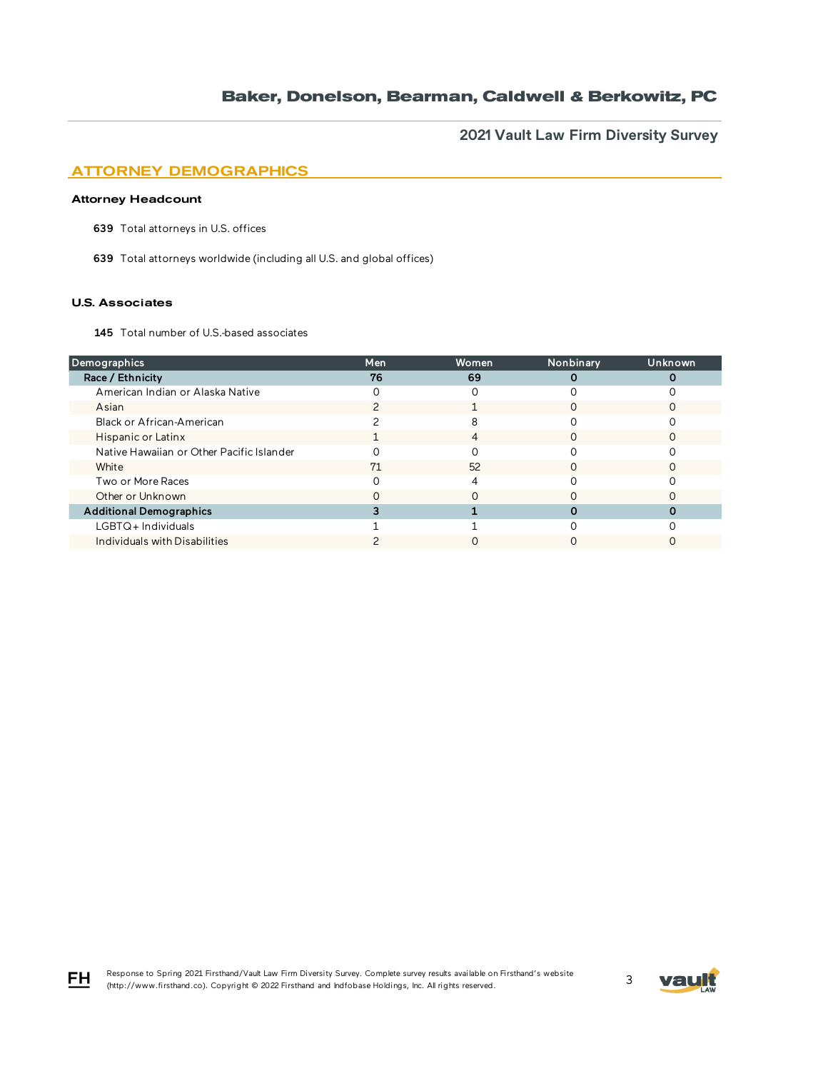**2021 Vault Law Firm Diversity Survey**

# ATTORNEY DEMOGRAPHICS

### Attorney Headcount

639 Total attorneys in U.S. offices

639 Total attorneys worldwide (including all U.S. and global offices)

#### U.S. Associates

FH

145 Total number of U.S.-based associates

| Demographics                              | Men | Women | Nonbinary | Unknown |
|-------------------------------------------|-----|-------|-----------|---------|
| Race / Ethnicity                          | 76  | 69    |           |         |
| American Indian or Alaska Native          |     |       |           |         |
| Asian                                     |     |       |           |         |
| Black or African-American                 |     |       |           |         |
| Hispanic or Latinx                        |     | 4     | ∩         |         |
| Native Hawaiian or Other Pacific Islander |     |       |           |         |
| White                                     | 71  | 52    |           |         |
| Two or More Races                         |     |       |           |         |
| Other or Unknown                          |     |       |           |         |
| <b>Additional Demographics</b>            |     |       |           |         |
| LGBTQ+Individuals                         |     |       |           |         |
| Individuals with Disabilities             |     |       |           |         |

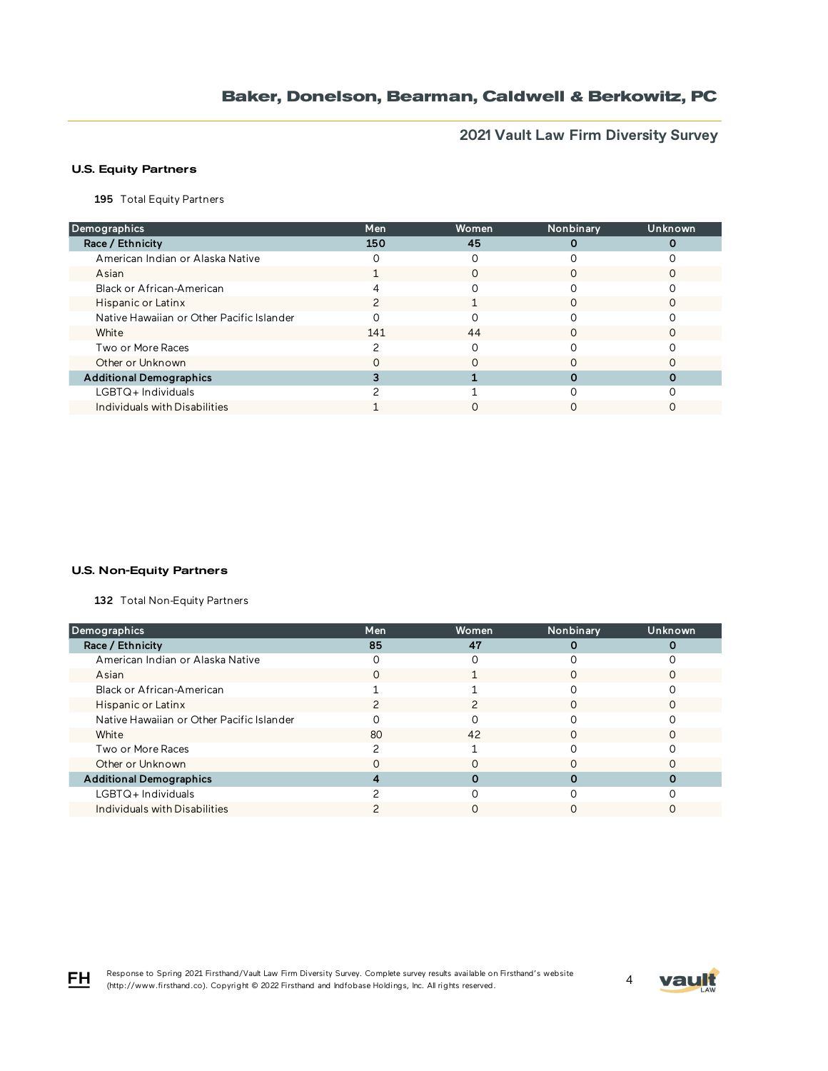**2021 Vault Law Firm Diversity Survey**

## U.S. Equity Partners

195 Total Equity Partners

| Demographics                              | Men | Women | Nonbinary | Unknown |
|-------------------------------------------|-----|-------|-----------|---------|
| Race / Ethnicity                          | 150 | 45    |           |         |
| American Indian or Alaska Native          |     |       |           |         |
| Asian                                     |     |       |           |         |
| Black or African-American                 |     |       |           |         |
| Hispanic or Latinx                        |     |       |           |         |
| Native Hawaiian or Other Pacific Islander |     |       |           |         |
| White                                     | 141 | 44    |           |         |
| Two or More Races                         |     |       |           |         |
| Other or Unknown                          |     |       |           |         |
| <b>Additional Demographics</b>            |     |       |           |         |
| LGBTQ+Individuals                         |     |       |           |         |
| Individuals with Disabilities             |     |       |           |         |

#### U.S. Non-Equity Partners

132 Total Non-Equity Partners

| Demographics                              | <b>Men</b> | Women | Nonbinary | <b>Unknown</b> |
|-------------------------------------------|------------|-------|-----------|----------------|
| Race / Ethnicity                          | 85         | 47    |           |                |
| American Indian or Alaska Native          |            |       |           |                |
| Asian                                     | Ω          |       |           |                |
| Black or African-American                 |            |       |           |                |
| Hispanic or Latinx                        |            |       |           |                |
| Native Hawaiian or Other Pacific Islander |            |       |           |                |
| White                                     | 80         | 42    |           |                |
| Two or More Races                         |            |       |           |                |
| Other or Unknown                          |            |       |           |                |
| <b>Additional Demographics</b>            |            |       |           |                |
| LGBTQ+ Individuals                        |            |       |           |                |
| Individuals with Disabilities             |            |       |           |                |

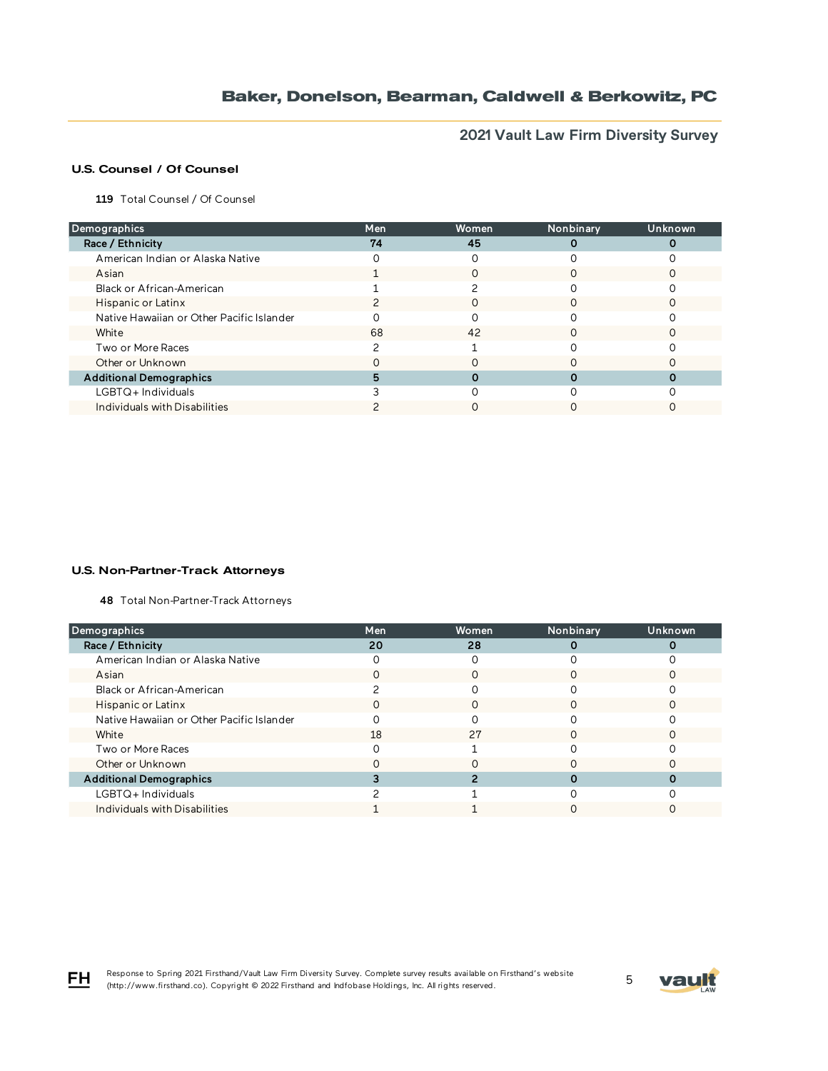**2021 Vault Law Firm Diversity Survey**

## U.S. Counsel / Of Counsel

119 Total Counsel / Of Counsel

| Demographics                              | Men | Women | Nonbinary | Unknown |
|-------------------------------------------|-----|-------|-----------|---------|
| Race / Ethnicity                          | 74  | 45    |           |         |
| American Indian or Alaska Native          |     |       |           |         |
| Asian                                     |     |       |           |         |
| Black or African-American                 |     |       |           |         |
| Hispanic or Latinx                        |     |       |           |         |
| Native Hawaiian or Other Pacific Islander |     |       |           |         |
| White                                     | 68  | 42    |           |         |
| Two or More Races                         |     |       |           |         |
| Other or Unknown                          |     |       |           |         |
| <b>Additional Demographics</b>            |     |       |           |         |
| LGBTQ+Individuals                         |     |       |           |         |
| Individuals with Disabilities             |     |       |           |         |

#### U.S. Non-Partner-Track Attorneys

48 Total Non-Partner-Track Attorneys

| Demographics                              | <b>Men</b> | Women | Nonbinary | Unknown |
|-------------------------------------------|------------|-------|-----------|---------|
| Race / Ethnicity                          | 20         | 28    |           |         |
| American Indian or Alaska Native          |            |       |           |         |
| Asian                                     |            |       |           |         |
| Black or African-American                 |            |       |           |         |
| Hispanic or Latinx                        |            |       |           |         |
| Native Hawaiian or Other Pacific Islander |            |       |           |         |
| White                                     | 18         | 27    | ∩         |         |
| Two or More Races                         |            |       |           |         |
| Other or Unknown                          |            |       |           |         |
| <b>Additional Demographics</b>            |            |       |           |         |
| LGBTQ+Individuals                         |            |       |           |         |
| Individuals with Disabilities             |            |       |           |         |



FH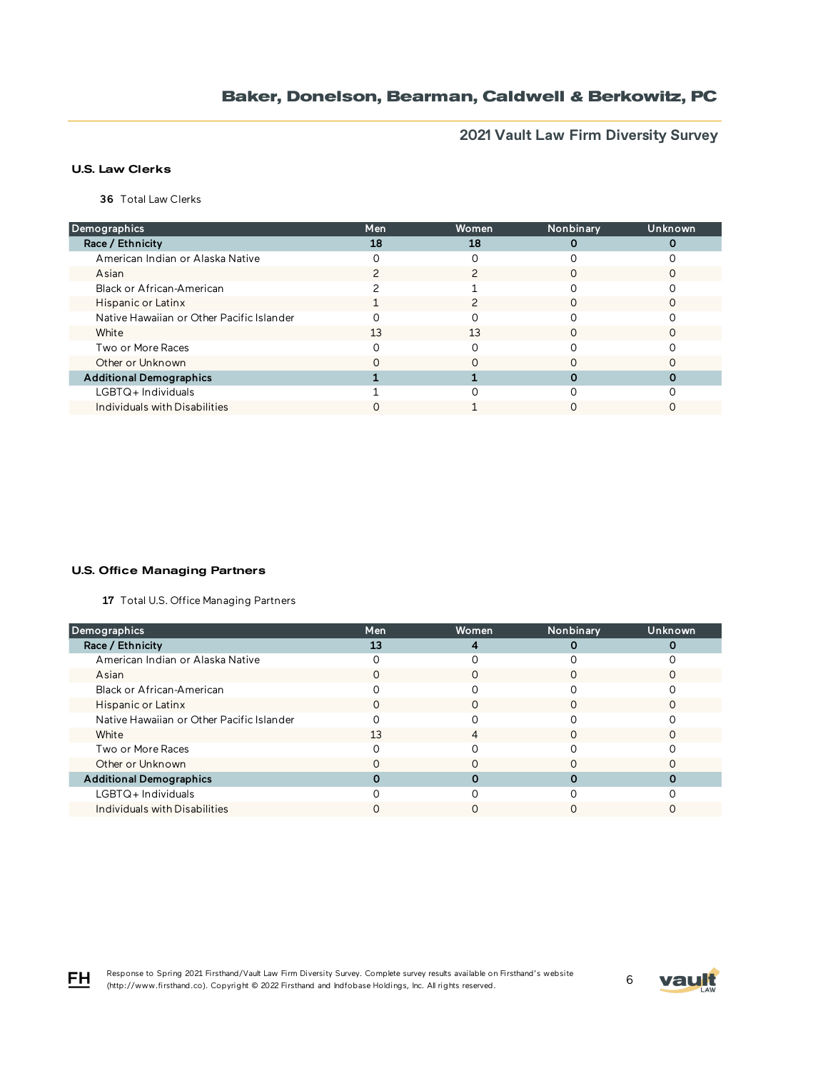**2021 Vault Law Firm Diversity Survey**

## U.S. Law Clerks

36 Total Law Clerks

| Demographics                              | Men | Women | Nonbinary | Unknown |
|-------------------------------------------|-----|-------|-----------|---------|
| Race / Ethnicity                          | 18  | 18    |           |         |
| American Indian or Alaska Native          |     |       |           |         |
| Asian                                     |     |       |           |         |
| Black or African-American                 |     |       |           |         |
| <b>Hispanic or Latinx</b>                 |     |       | O         |         |
| Native Hawaiian or Other Pacific Islander |     |       |           |         |
| White                                     | 13  | 13    |           |         |
| Two or More Races                         |     |       |           |         |
| Other or Unknown                          |     |       |           |         |
| <b>Additional Demographics</b>            |     |       |           |         |
| $LGBTQ+$ Individuals                      |     |       |           |         |
| Individuals with Disabilities             |     |       |           |         |

#### U.S. Office Managing Partners

17 Total U.S. Office Managing Partners

| Demographics                              | <b>Men</b> | Women | Nonbinary | Unknown |
|-------------------------------------------|------------|-------|-----------|---------|
| Race / Ethnicity                          | 13         |       |           |         |
| American Indian or Alaska Native          |            |       |           |         |
| Asian                                     |            |       |           |         |
| Black or African-American                 |            |       |           |         |
| Hispanic or Latinx                        |            |       |           |         |
| Native Hawaiian or Other Pacific Islander |            |       |           |         |
| White                                     | 13         | 4     | ∩         |         |
| Two or More Races                         |            |       |           |         |
| Other or Unknown                          |            |       |           |         |
| <b>Additional Demographics</b>            |            |       |           |         |
| LGBTQ+Individuals                         |            |       |           |         |
| Individuals with Disabilities             |            |       |           |         |

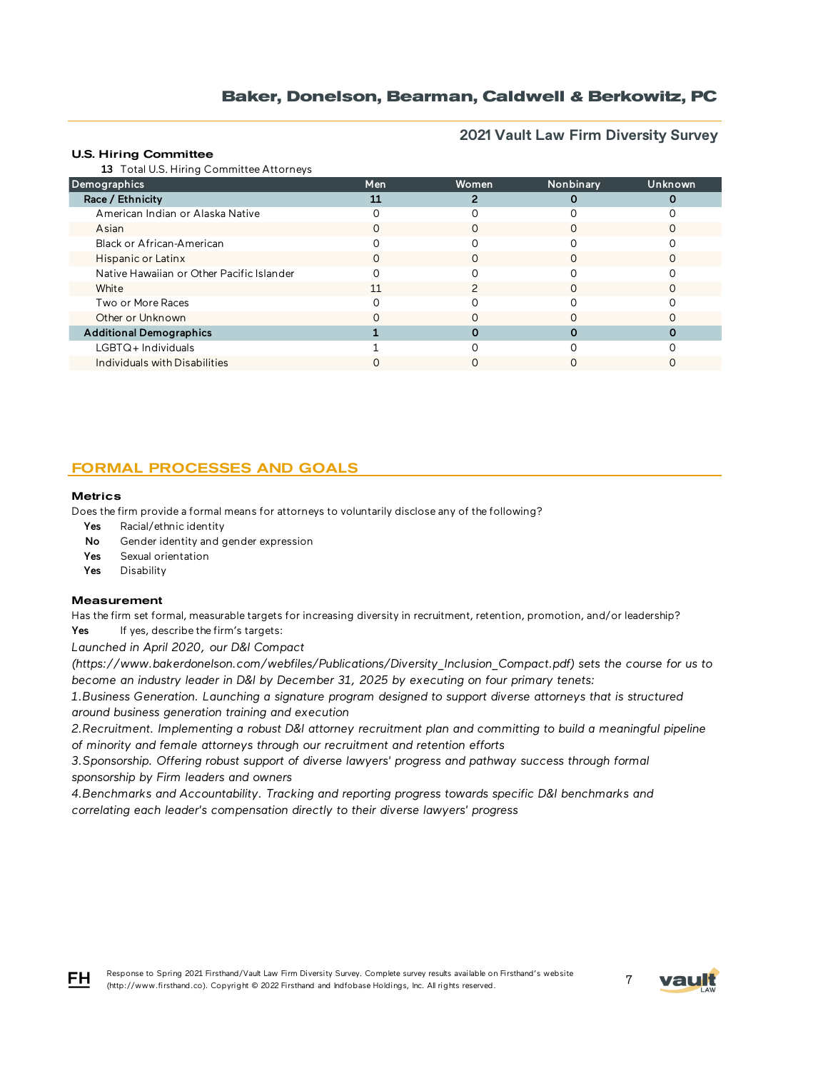**2021 Vault Law Firm Diversity Survey**

#### U.S. Hiring Committee

13 Total U.S. Hiring Committee Attorneys

| $\frac{1}{2}$ retained. The interest commute extremely state |     |       |           |                |
|--------------------------------------------------------------|-----|-------|-----------|----------------|
| <b>Demographics</b>                                          | Men | Women | Nonbinary | <b>Unknown</b> |
| Race / Ethnicity                                             |     |       |           |                |
| American Indian or Alaska Native                             |     |       |           |                |
| Asian                                                        |     |       |           |                |
| Black or African-American                                    |     |       |           |                |
| Hispanic or Latinx                                           | O   |       |           |                |
| Native Hawaiian or Other Pacific Islander                    |     |       |           |                |
| White                                                        | 11  |       |           |                |
| Two or More Races                                            |     |       |           |                |
| Other or Unknown                                             |     |       |           |                |
| <b>Additional Demographics</b>                               |     |       |           |                |
| $LGBTQ+$ Individuals                                         |     |       |           |                |
| Individuals with Disabilities                                |     |       |           |                |

## FORMAL PROCESSES AND GOALS

#### **Metrics**

Does the firm provide a formal means for attorneys to voluntarily disclose any of the following?

- Yes Racial/ethnic identity
- No Gender identity and gender expression
- Yes Sexual orientation
- Yes Disability

#### **Measurement**

Has the firm set formal, measurable targets for increasing diversity in recruitment, retention, promotion, and/or leadership? Yes If yes, describe the firm's targets:

*Launched in April 2020, our D&I Compact* 

*(https://www.bakerdonelson.com/webfiles/Publications/Diversity\_Inclusion\_Compact.pdf) sets the course for us to become an industry leader in D&I by December 31, 2025 by executing on four primary tenets:*

*1.Business Generation. Launching a signature program designed to support diverse attorneys that is structured around business generation training and execution*

*2.Recruitment. Implementing a robust D&I attorney recruitment plan and committing to build a meaningful pipeline of minority and female attorneys through our recruitment and retention efforts*

3. Sponsorship. Offering robust support of diverse lawyers' progress and pathway success through formal *sponsorship by Firm leaders and owners*

*4.Benchmarks and Accountability. Tracking and reporting progress towards specific D&I benchmarks and correlating each leader's compensation directly to their diverse lawyers' progress*

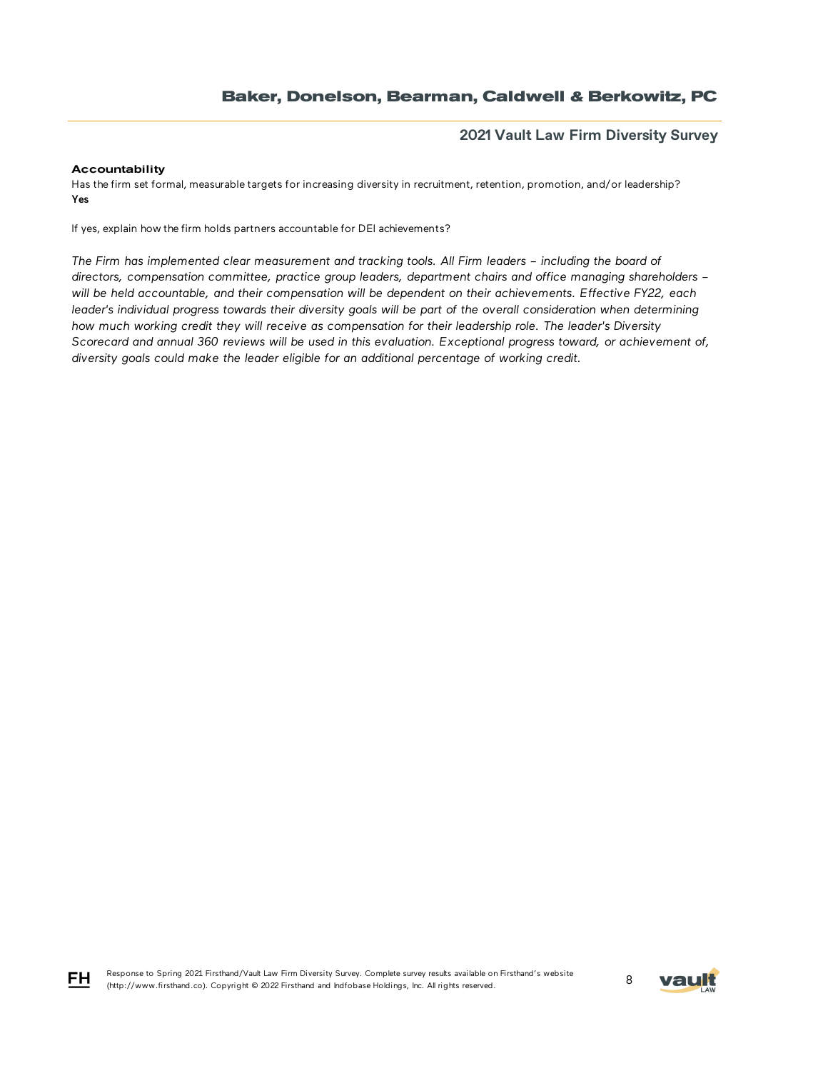## **2021 Vault Law Firm Diversity Survey**

### Accountability

Has the firm set formal, measurable targets for increasing diversity in recruitment, retention, promotion, and/or leadership? Yes

If yes, explain how the firm holds partners accountable for DEI achievements?

The Firm has implemented clear measurement and tracking tools. All Firm leaders - including the board of *directors, compensation committee, practice group leaders, department chairs and office managing shareholders – will be held accountable, and their compensation will be dependent on their achievements. Effective FY22, each*  leader's individual progress towards their diversity goals will be part of the overall consideration when determining *how much working credit they will receive as compensation for their leadership role. The leader's Diversity Scorecard and annual 360 reviews will be used in this evaluation. Exceptional progress toward, or achievement of, diversity goals could make the leader eligible for an additional percentage of working credit.*



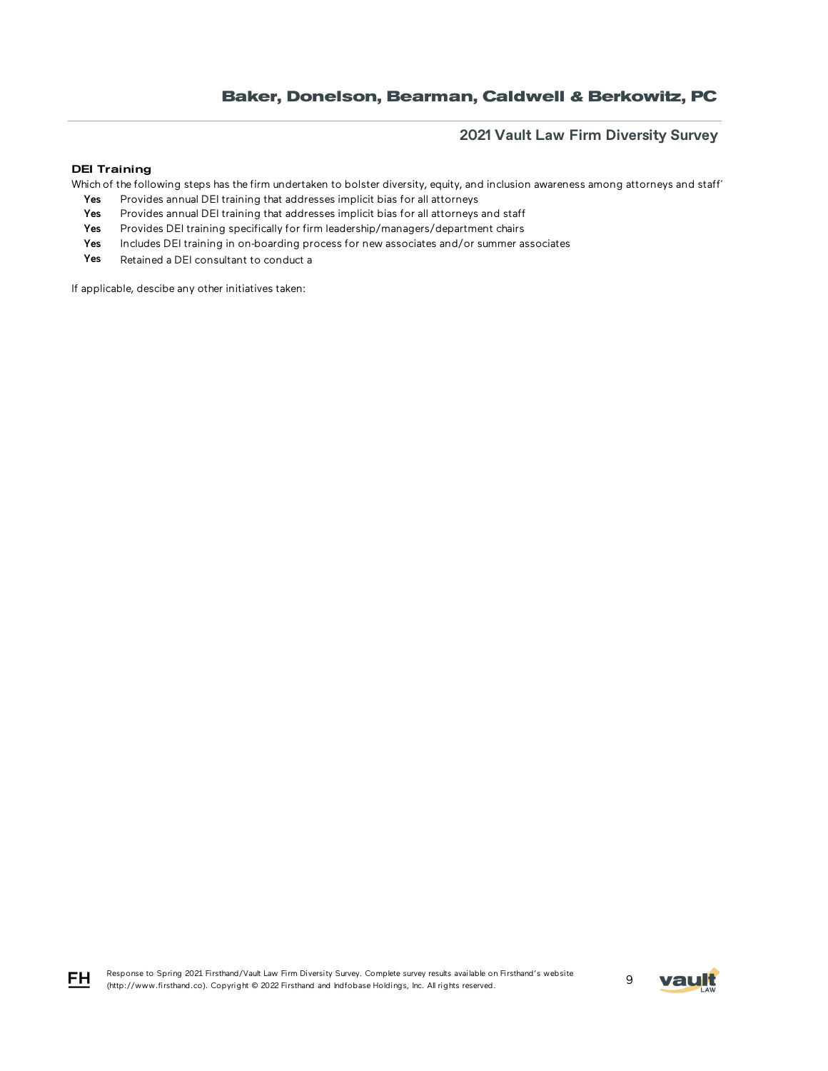## **2021 Vault Law Firm Diversity Survey**

### DEI Training

Which of the following steps has the firm undertaken to bolster diversity, equity, and inclusion awareness among attorneys and staff

- Yes Provides annual DEI training that addresses implicit bias for all attorneys
- Yes Provides annual DEI training that addresses implicit bias for all attorneys and staff
- Yes Provides DEI training specifically for firm leadership/managers/department chairs
- Yes Includes DEI training in on-boarding process for new associates and/or summer associates
- Yes Retained a DEI consultant to conduct a

If applicable, descibe any other initiatives taken:



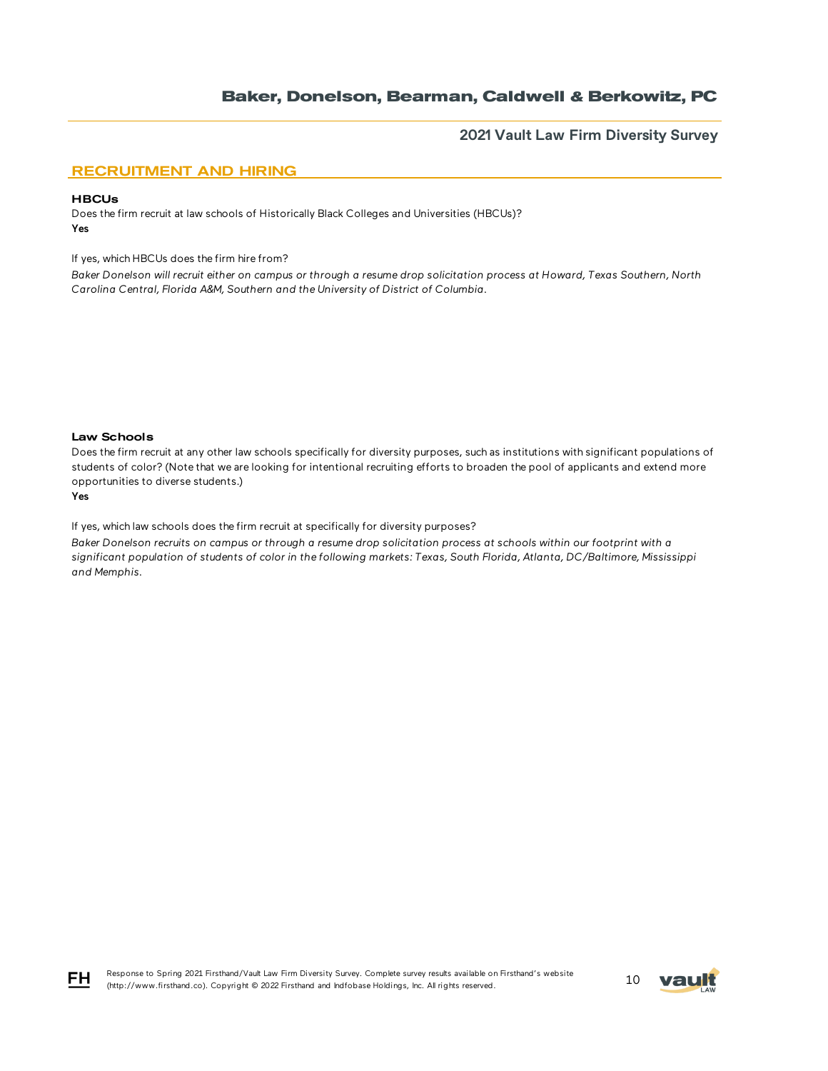### **2021 Vault Law Firm Diversity Survey**

## RECRUITMENT AND HIRING

#### **HBCUs**

Does the firm recruit at law schools of Historically Black Colleges and Universities (HBCUs)? Yes

If yes, which HBCUs does the firm hire from?

*Baker Donelson will recruit either on campus or through a resume drop solicitation process at Howard, Texas Southern, North Carolina Central, Florida A&M, Southern and the University of District of Columbia.*

#### Law Schools

Does the firm recruit at any other law schools specifically for diversity purposes, such as institutions with significant populations of students of color? (Note that we are looking for intentional recruiting efforts to broaden the pool of applicants and extend more opportunities to diverse students.)

#### Yes

If yes, which law schools does the firm recruit at specifically for diversity purposes?

*Baker Donelson recruits on campus or through a resume drop solicitation process at schools within our footprint with a significant population of students of color in the following markets: Texas, South Florida, Atlanta, DC/Baltimore, Mississippi and Memphis.*



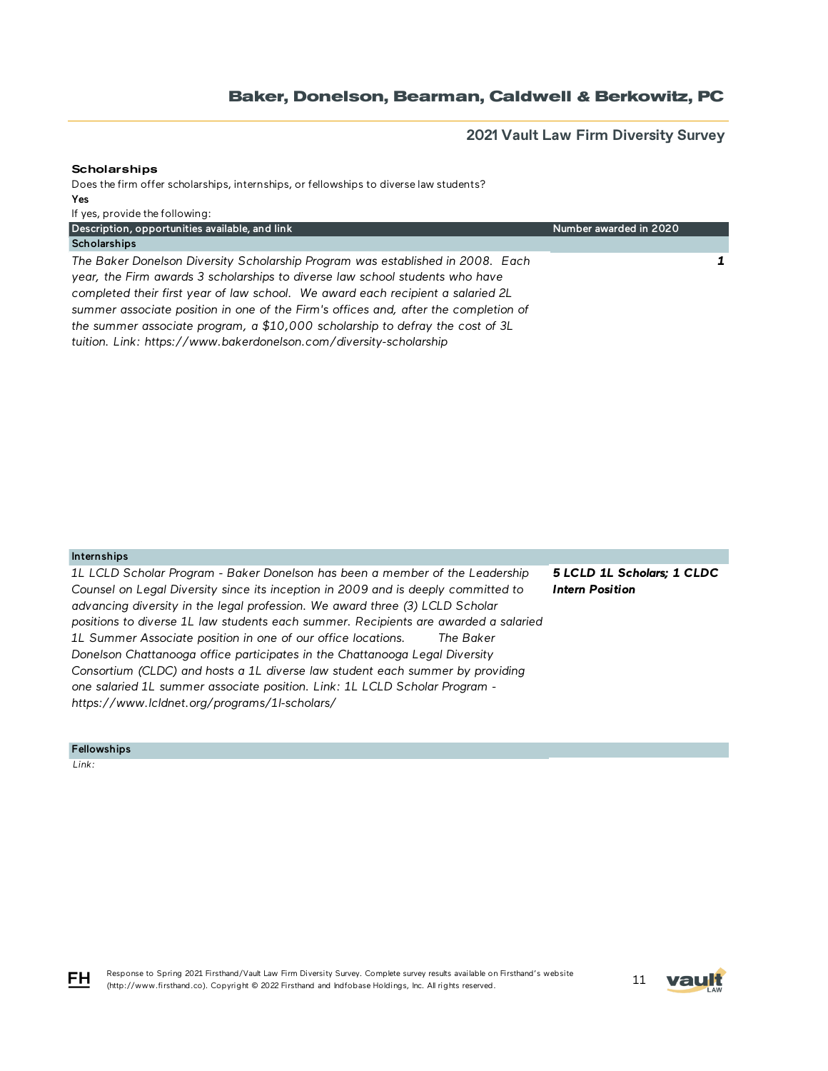**2021 Vault Law Firm Diversity Survey**

### **Scholarships**

Does the firm offer scholarships, internships, or fellowships to diverse law students? Yes If yes, provide the following:

| Description, opportunities available, and link                                                                                                                                                                                                                                                                                                                                                                                                                                                  | Number awarded in 2020 |
|-------------------------------------------------------------------------------------------------------------------------------------------------------------------------------------------------------------------------------------------------------------------------------------------------------------------------------------------------------------------------------------------------------------------------------------------------------------------------------------------------|------------------------|
| Scholarships                                                                                                                                                                                                                                                                                                                                                                                                                                                                                    |                        |
| The Baker Donelson Diversity Scholarship Program was established in 2008. Each<br>year, the Firm awards 3 scholarships to diverse law school students who have<br>completed their first year of law school. We award each recipient a salaried 2L<br>summer associate position in one of the Firm's offices and, after the completion of<br>the summer associate program, a \$10,000 scholarship to defray the cost of 3L<br>tuition. Link: https://www.bakerdonelson.com/diversity-scholarship |                        |
|                                                                                                                                                                                                                                                                                                                                                                                                                                                                                                 |                        |

#### Internships

*1L LCLD Scholar Program - Baker Donelson has been a member of the Leadership Counsel on Legal Diversity since its inception in 2009 and is deeply committed to advancing diversity in the legal profession. We award three (3) LCLD Scholar positions to diverse 1L law students each summer. Recipients are awarded a salaried 1L Summer Associate position in one of our office locations. The Baker Donelson Chattanooga office participates in the Chattanooga Legal Diversity Consortium (CLDC) and hosts a 1L diverse law student each summer by providing one salaried 1L summer associate position. Link: 1L LCLD Scholar Program https://www.lcldnet.org/programs/1l-scholars/*

*5 LCLD 1L Scholars; 1 CLDC Intern Position*

Fellowships

 *Link:* 



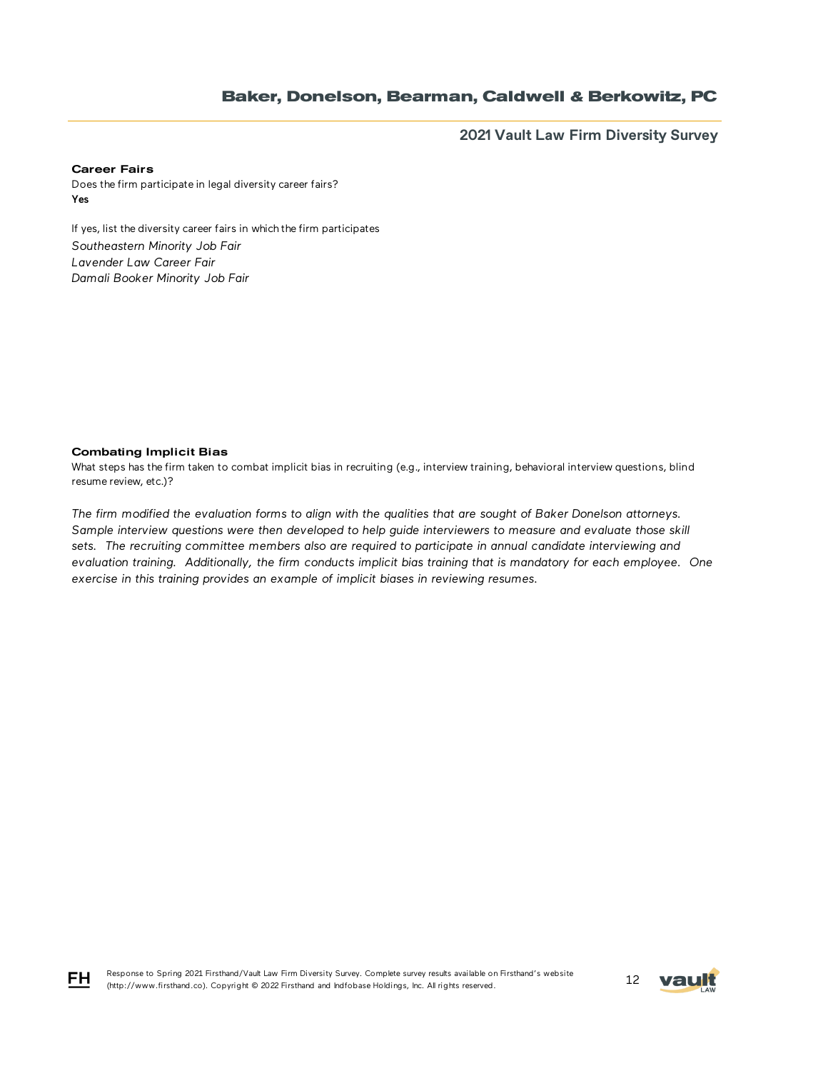**2021 Vault Law Firm Diversity Survey**

#### Career Fairs

Does the firm participate in legal diversity career fairs? Yes

If yes, list the diversity career fairs in which the firm participates *Southeastern Minority Job Fair Lavender Law Career Fair Damali Booker Minority Job Fair*

### Combating Implicit Bias

What steps has the firm taken to combat implicit bias in recruiting (e.g., interview training, behavioral interview questions, blind resume review, etc.)?

*The firm modified the evaluation forms to align with the qualities that are sought of Baker Donelson attorneys. Sample interview questions were then developed to help guide interviewers to measure and evaluate those skill sets. The recruiting committee members also are required to participate in annual candidate interviewing and evaluation training. Additionally, the firm conducts implicit bias training that is mandatory for each employee. One exercise in this training provides an example of implicit biases in reviewing resumes.*



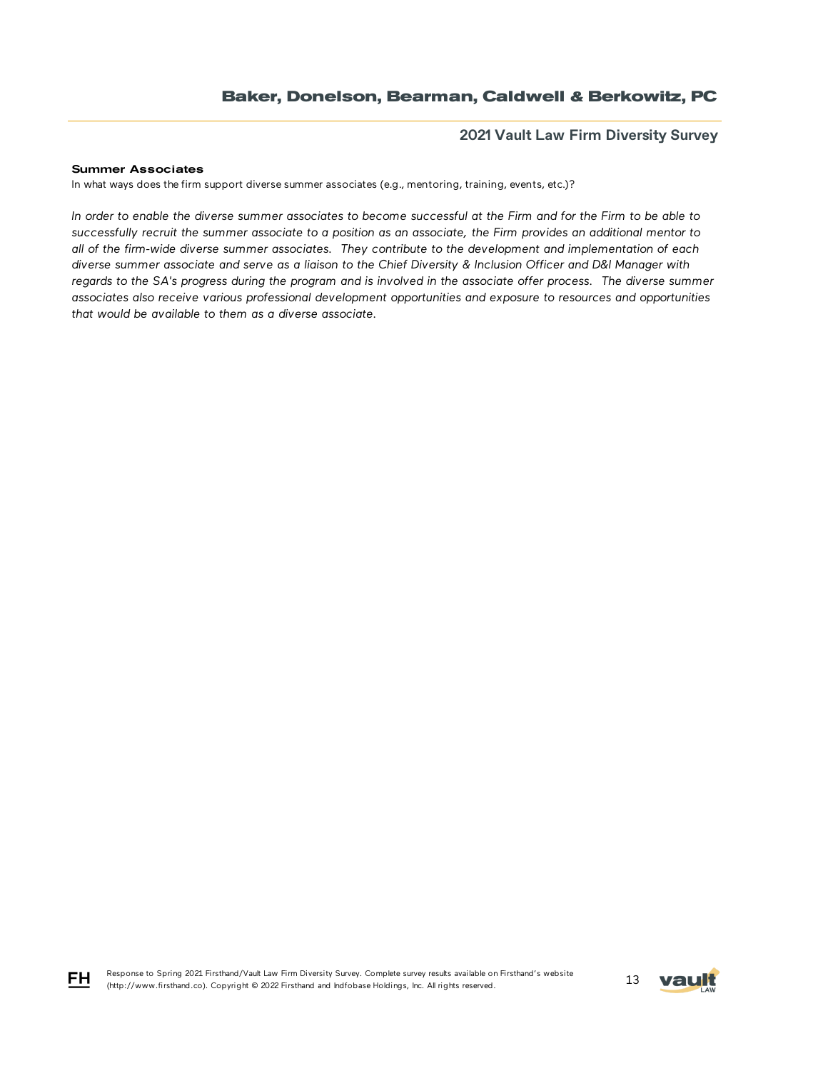### **2021 Vault Law Firm Diversity Survey**

### Summer Associates

In what ways does the firm support diverse summer associates (e.g., mentoring, training, events, etc.)?

*In order to enable the diverse summer associates to become successful at the Firm and for the Firm to be able to successfully recruit the summer associate to a position as an associate, the Firm provides an additional mentor to all of the firm-wide diverse summer associates. They contribute to the development and implementation of each diverse summer associate and serve as a liaison to the Chief Diversity & Inclusion Officer and D&I Manager with regards to the SA's progress during the program and is involved in the associate offer process. The diverse summer associates also receive various professional development opportunities and exposure to resources and opportunities that would be available to them as a diverse associate.* 





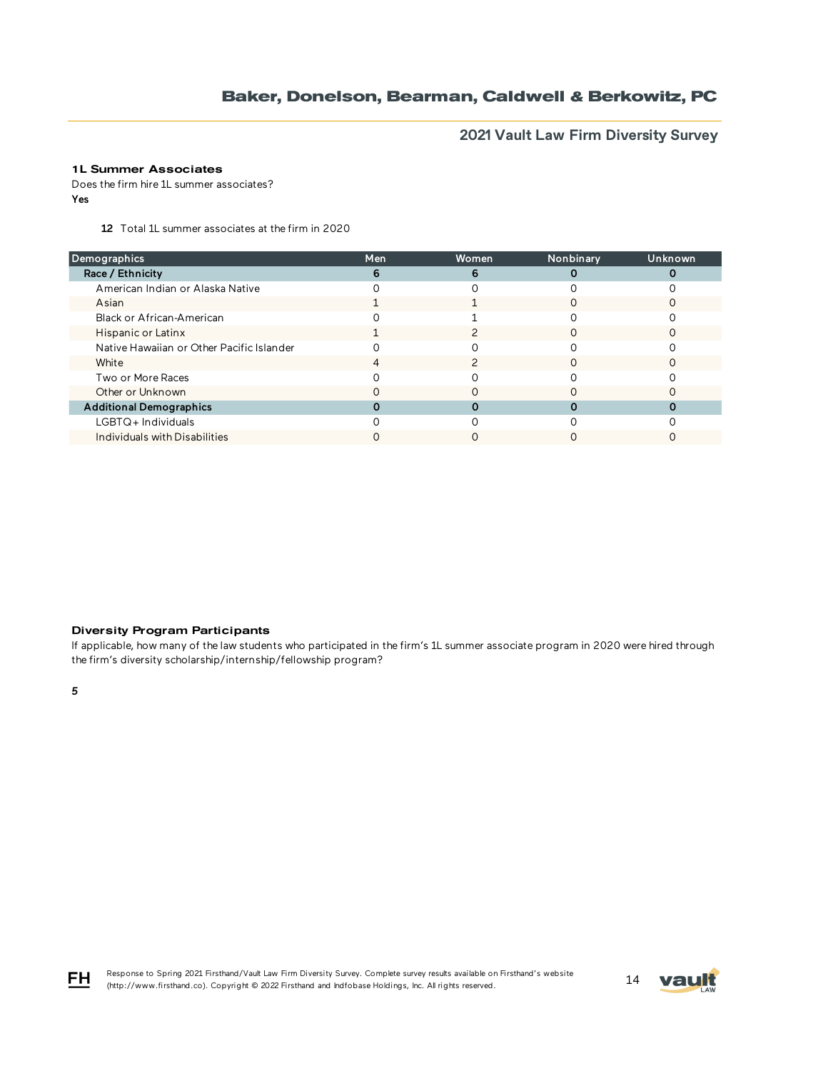**2021 Vault Law Firm Diversity Survey**

## 1L Summer Associates

Does the firm hire 1L summer associates? Yes

12 Total 1L summer associates at the firm in 2020

| Men | Women | Nonbinary | Unknown |
|-----|-------|-----------|---------|
| 6   | 6     |           |         |
|     |       |           |         |
|     |       |           |         |
|     |       |           |         |
|     |       |           |         |
|     |       |           |         |
|     |       |           |         |
|     |       |           |         |
|     |       |           |         |
|     |       |           |         |
|     |       |           |         |
|     |       |           |         |
|     |       |           |         |

### Diversity Program Participants

If applicable, how many of the law students who participated in the firm's 1L summer associate program in 2020 were hired through the firm's diversity scholarship/internship/fellowship program?

*5*





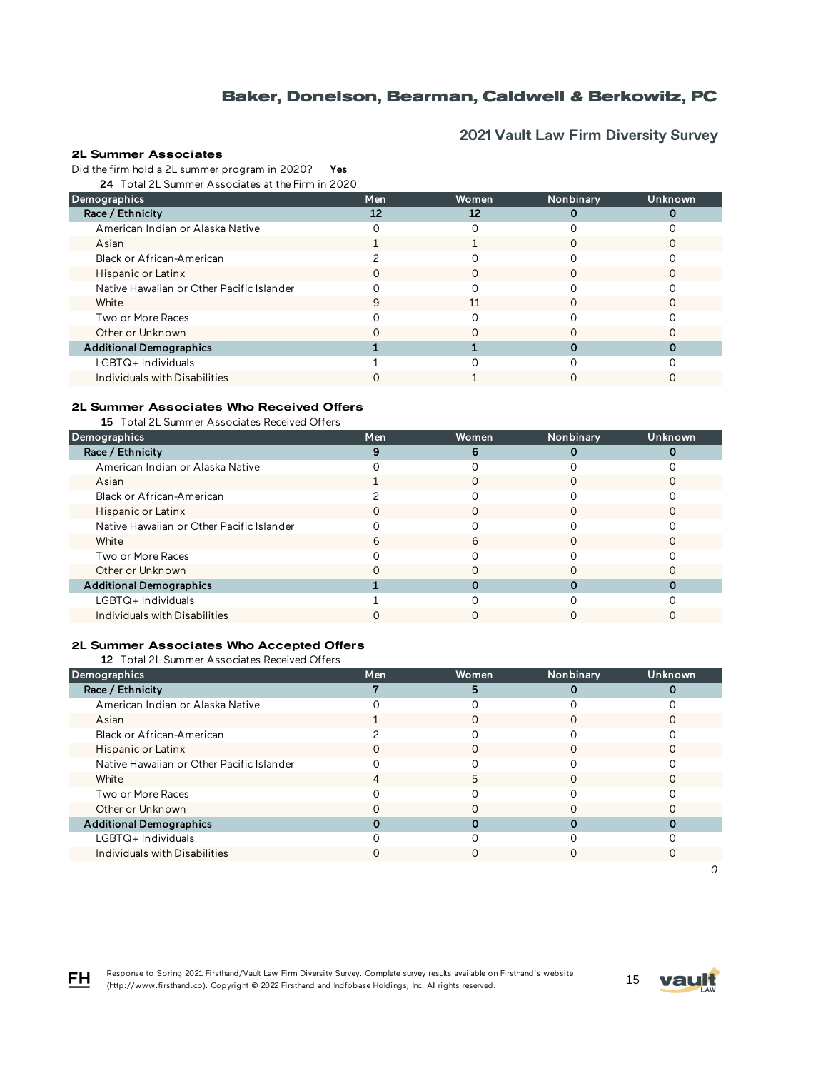# **2021 Vault Law Firm Diversity Survey**

### 2L Summer Associates

Did the firm hold a 2L summer program in 2020? Yes

24 Total 2L Summer Associates at the Firm in 2020

| Demographics                              | Men | <b>Women</b> | Nonbinary | Unknown |
|-------------------------------------------|-----|--------------|-----------|---------|
| Race / Ethnicity                          | 12  | 12           |           |         |
| American Indian or Alaska Native          |     |              |           |         |
| Asian                                     |     |              |           |         |
| Black or African-American                 |     |              |           |         |
| Hispanic or Latinx                        |     |              |           |         |
| Native Hawaiian or Other Pacific Islander |     |              |           |         |
| White                                     | q   | 11           |           |         |
| Two or More Races                         |     |              |           |         |
| Other or Unknown                          |     |              |           |         |
| <b>Additional Demographics</b>            |     |              |           |         |
| LGBTQ+Individuals                         |     |              |           |         |
| Individuals with Disabilities             |     |              |           |         |

### 2L Summer Associates Who Received Offers

15 Total 2L Summer Associates Received Offers

| Demographics                              | Men | <b>Women</b> | Nonbinary | Unknown |
|-------------------------------------------|-----|--------------|-----------|---------|
| Race / Ethnicity                          |     | 6            |           |         |
| American Indian or Alaska Native          |     |              |           |         |
| Asian                                     |     |              |           |         |
| Black or African-American                 |     |              |           |         |
| Hispanic or Latinx                        |     | O            |           |         |
| Native Hawaiian or Other Pacific Islander |     |              |           |         |
| White                                     | h   | 6            |           |         |
| Two or More Races                         |     |              |           |         |
| Other or Unknown                          |     |              |           |         |
| <b>Additional Demographics</b>            |     |              |           |         |
| LGBTQ+Individuals                         |     |              |           |         |
| Individuals with Disabilities             |     |              |           |         |

### 2L Summer Associates Who Accepted Offers

12 Total 2L Summer Associates Received Offers

| Demographics                              | Men | Women | Nonbinary | Unknown |
|-------------------------------------------|-----|-------|-----------|---------|
| Race / Ethnicity                          |     | 5     |           |         |
| American Indian or Alaska Native          |     |       |           |         |
| Asian                                     |     |       |           |         |
| Black or African-American                 |     |       |           |         |
| Hispanic or Latinx                        |     |       |           |         |
| Native Hawaiian or Other Pacific Islander |     |       |           |         |
| White                                     |     | 5     |           |         |
| Two or More Races                         |     |       |           |         |
| Other or Unknown                          |     |       |           |         |
| <b>Additional Demographics</b>            |     |       |           |         |
| $LGBTQ+$ Individuals                      |     |       |           |         |
| Individuals with Disabilities             |     |       |           |         |



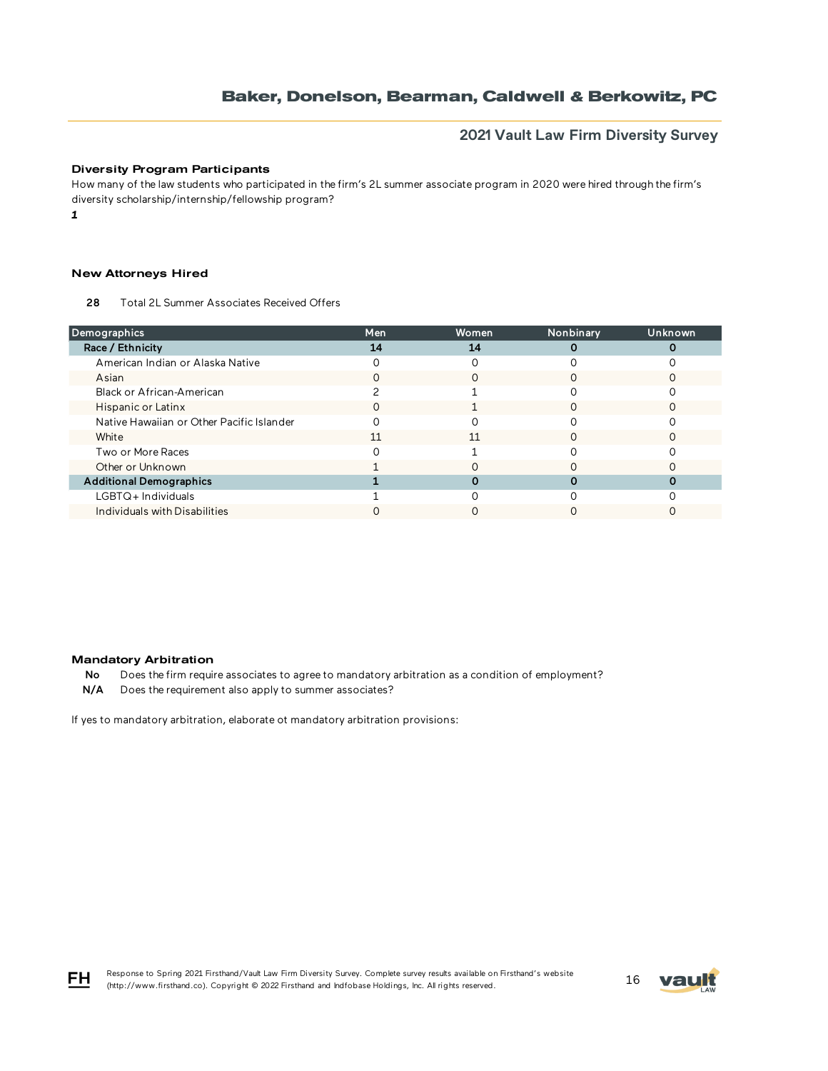## **2021 Vault Law Firm Diversity Survey**

### Diversity Program Participants

How many of the law students who participated in the firm's 2L summer associate program in 2020 were hired through the firm's diversity scholarship/internship/fellowship program?

*1*

#### New Attorneys Hired

28 Total 2L Summer Associates Received Offers

| Demographics                              | Men | Women | Nonbinary | Unknown |
|-------------------------------------------|-----|-------|-----------|---------|
| Race / Ethnicity                          | 14  | 14    |           |         |
| American Indian or Alaska Native          |     |       |           |         |
| Asian                                     |     |       |           |         |
| Black or African-American                 |     |       |           |         |
| Hispanic or Latinx                        |     |       |           |         |
| Native Hawaiian or Other Pacific Islander |     |       |           |         |
| White                                     | 11  | 11    |           |         |
| Two or More Races                         |     |       |           |         |
| Other or Unknown                          |     |       |           |         |
| <b>Additional Demographics</b>            |     |       |           |         |
| $LGBTQ+$ Individuals                      |     |       |           |         |
| Individuals with Disabilities             |     |       |           |         |

#### Mandatory Arbitration

No Does the firm require associates to agree to mandatory arbitration as a condition of employment?

N/A Does the requirement also apply to summer associates?

If yes to mandatory arbitration, elaborate ot mandatory arbitration provisions:





FH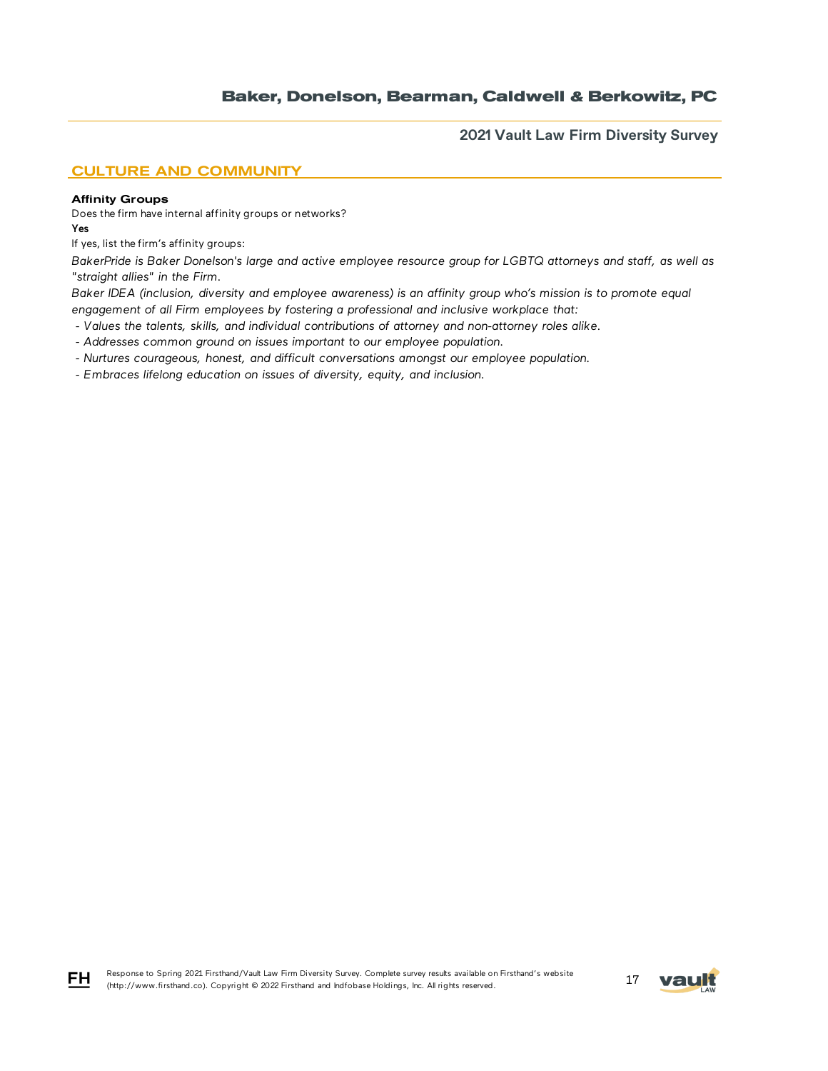**2021 Vault Law Firm Diversity Survey**

## CULTURE AND COMMUNITY

#### Affinity Groups

FH

Does the firm have internal affinity groups or networks? Yes

If yes, list the firm's affinity groups:

*BakerPride is Baker Donelson's large and active employee resource group for LGBTQ attorneys and staff, as well as "straight allies" in the Firm.*

*Baker IDEA (inclusion, diversity and employee awareness) is an affinity group who's mission is to promote equal engagement of all Firm employees by fostering a professional and inclusive workplace that:* 

 *- Values the talents, skills, and individual contributions of attorney and non-attorney roles alike.*

 *- Addresses common ground on issues important to our employee population.*

 *- Nurtures courageous, honest, and difficult conversations amongst our employee population.*

 *- Embraces lifelong education on issues of diversity, equity, and inclusion.*

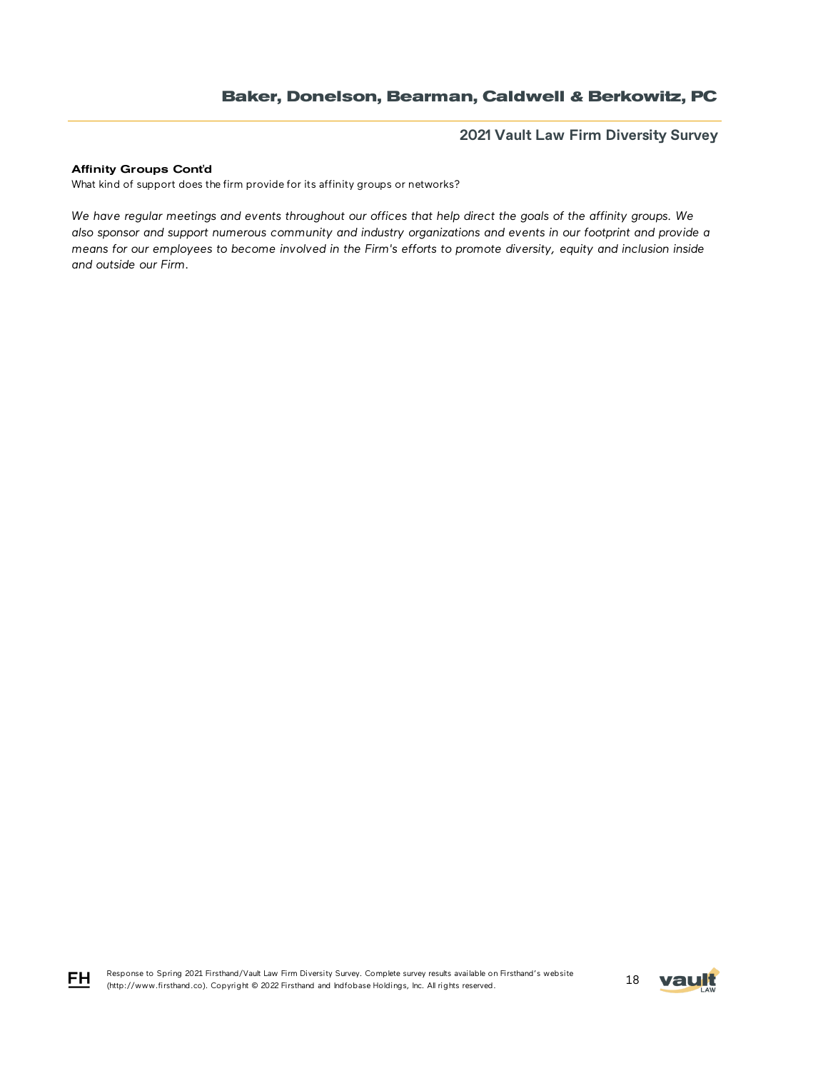**2021 Vault Law Firm Diversity Survey**

### Affinity Groups Cont'd

What kind of support does the firm provide for its affinity groups or networks?

*We have regular meetings and events throughout our offices that help direct the goals of the affinity groups. We also sponsor and support numerous community and industry organizations and events in our footprint and provide a means for our employees to become involved in the Firm's efforts to promote diversity, equity and inclusion inside and outside our Firm.* 



FH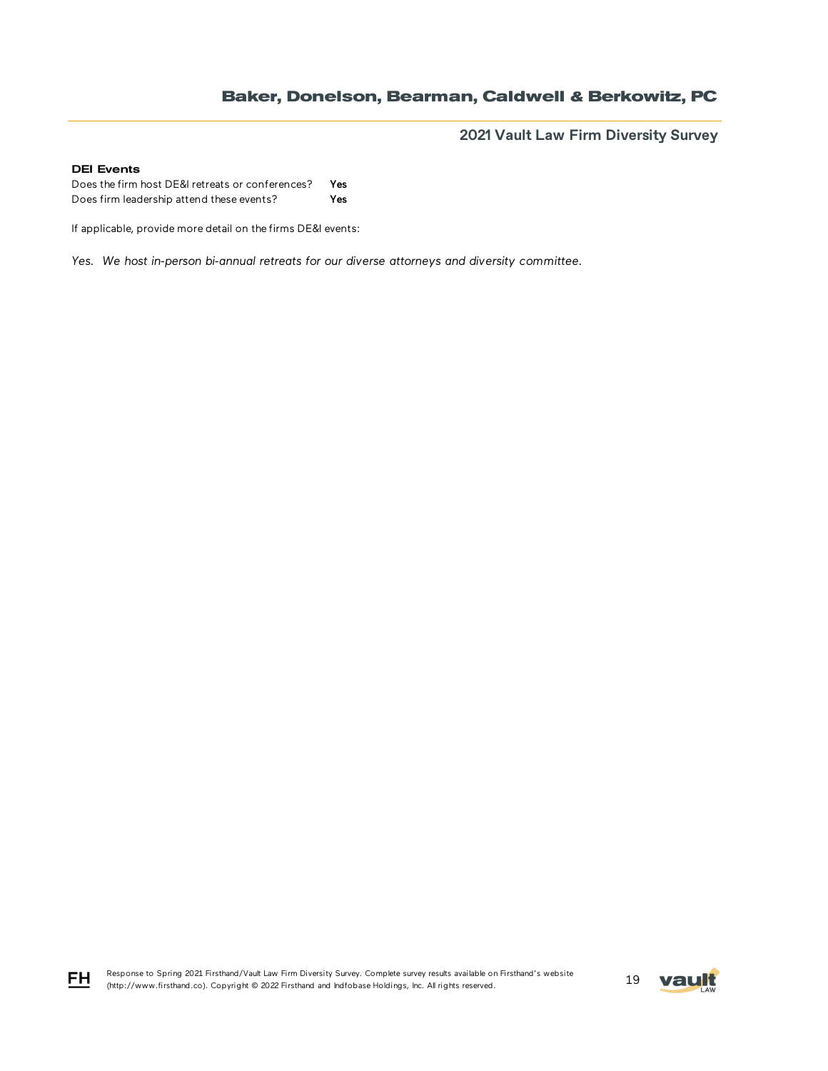**2021 Vault Law Firm Diversity Survey**

### DEI Events

Does the firm host DE&I retreats or conferences? Yes Does firm leadership attend these events? Yes

If applicable, provide more detail on the firms DE&I events:

*Yes. We host in-person bi-annual retreats for our diverse attorneys and diversity committee.*

Response to Spring 2021 Firsthand/Vault Law Firm Diversity Survey. Complete survey results available on Firsthand's website Response to Spring 2021 Firstnand/Vault Law Firm Diversity Survey. Complete survey results available on Firstnand's Website<br>(http://www.firsthand.co). Copyright © 2022 Firsthand and Indfobase Holdings, Inc. All rights rese



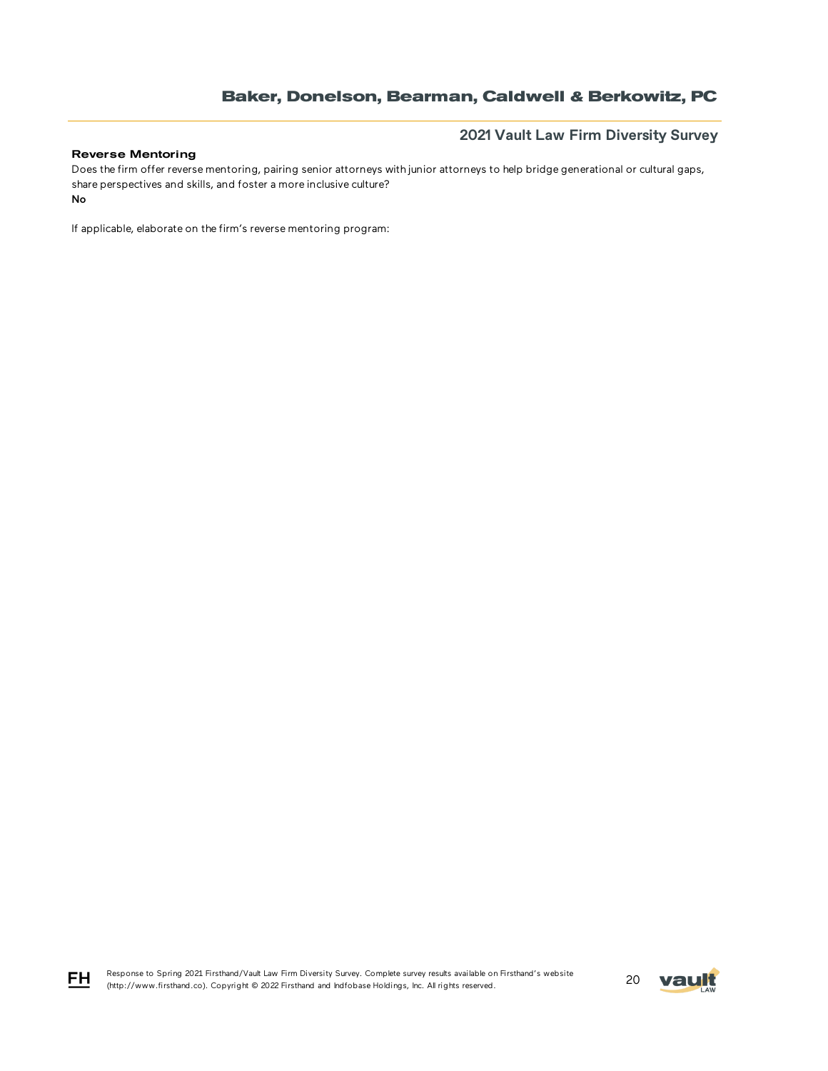# **2021 Vault Law Firm Diversity Survey**

### Reverse Mentoring

No Does the firm offer reverse mentoring, pairing senior attorneys with junior attorneys to help bridge generational or cultural gaps, share perspectives and skills, and foster a more inclusive culture?

If applicable, elaborate on the firm's reverse mentoring program:

Response to Spring 2021 Firsthand/Vault Law Firm Diversity Survey. Complete survey results available on Firsthand's website Response to Spring 2021 Firstnand/vault Law Firm Diversity Survey. Complete survey results available on Firstnand's website<br>(http://www.firsthand.co). Copyright © 2022 Firsthand and Indfobase Holdings, Inc. All rights rese



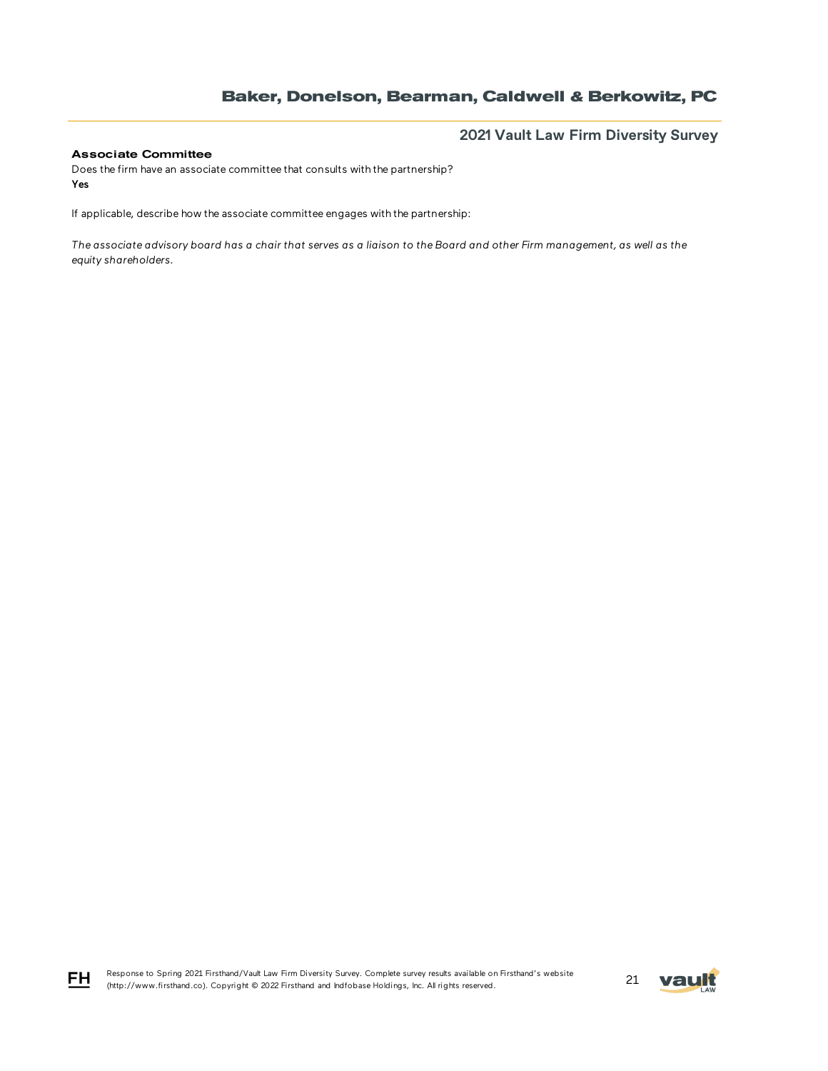## **2021 Vault Law Firm Diversity Survey**

### Associate Committee

FH

Does the firm have an associate committee that consults with the partnership? Yes

If applicable, describe how the associate committee engages with the partnership:

*The associate advisory board has a chair that serves as a liaison to the Board and other Firm management, as well as the equity shareholders.* 

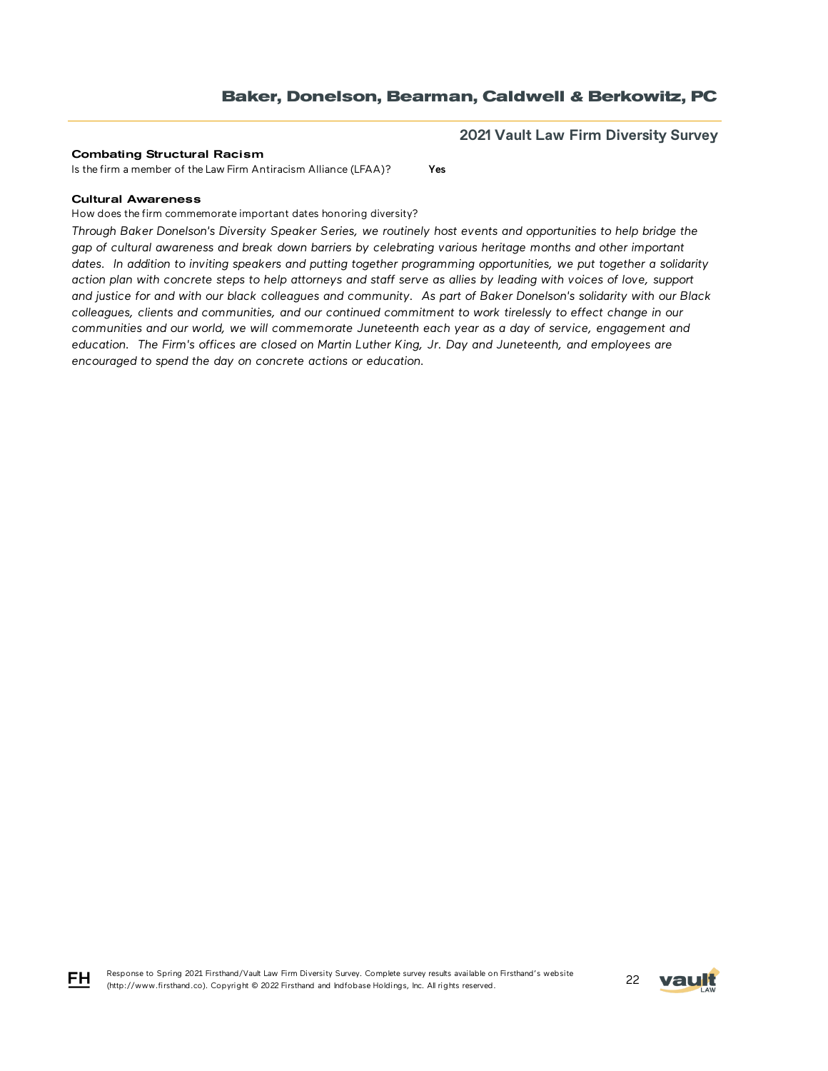**2021 Vault Law Firm Diversity Survey**

#### Combating Structural Racism

Is the firm a member of the Law Firm Antiracism Alliance (LFAA)? Yes

#### Cultural Awareness

How does the firm commemorate important dates honoring diversity?

*Through Baker Donelson's Diversity Speaker Series, we routinely host events and opportunities to help bridge the gap of cultural awareness and break down barriers by celebrating various heritage months and other important dates. In addition to inviting speakers and putting together programming opportunities, we put together a solidarity action plan with concrete steps to help attorneys and staff serve as allies by leading with voices of love, support and justice for and with our black colleagues and community. As part of Baker Donelson's solidarity with our Black colleagues, clients and communities, and our continued commitment to work tirelessly to effect change in our communities and our world, we will commemorate Juneteenth each year as a day of service, engagement and education. The Firm's offices are closed on Martin Luther King, Jr. Day and Juneteenth, and employees are encouraged to spend the day on concrete actions or education.*





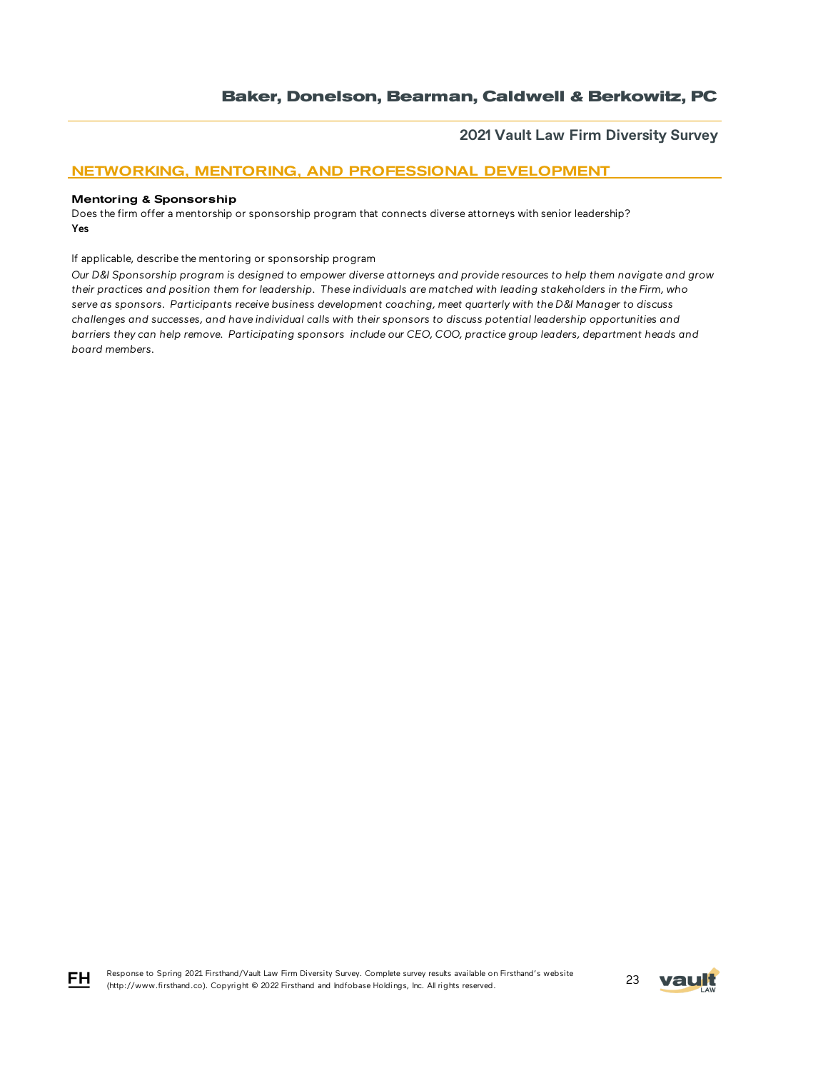**2021 Vault Law Firm Diversity Survey**

## NETWORKING, MENTORING, AND PROFESSIONAL DEVELOPMENT

#### Mentoring & Sponsorship

Does the firm offer a mentorship or sponsorship program that connects diverse attorneys with senior leadership? Yes

If applicable, describe the mentoring or sponsorship program

*Our D&I Sponsorship program is designed to empower diverse attorneys and provide resources to help them navigate and grow their practices and position them for leadership. These individuals are matched with leading stakeholders in the Firm, who serve as sponsors. Participants receive business development coaching, meet quarterly with the D&I Manager to discuss challenges and successes, and have individual calls with their sponsors to discuss potential leadership opportunities and barriers they can help remove. Participating sponsors include our CEO, COO, practice group leaders, department heads and board members.*



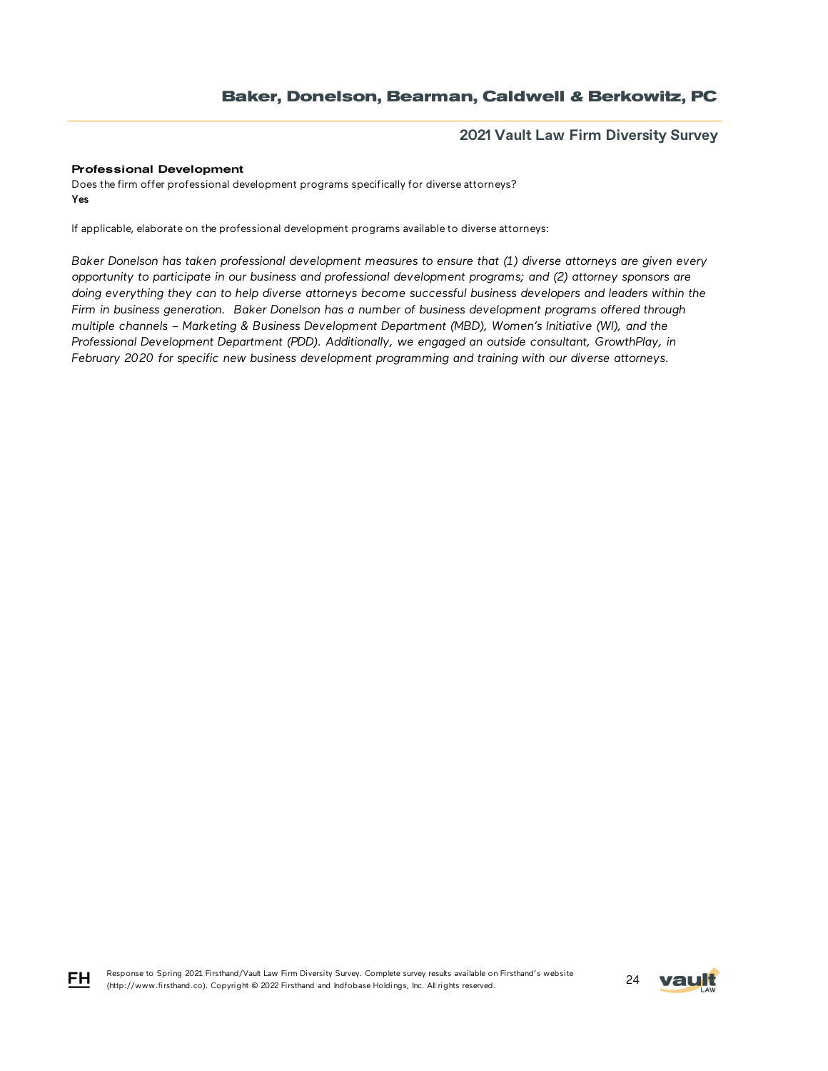## **2021 Vault Law Firm Diversity Survey**

### Professional Development

FH

Does the firm offer professional development programs specifically for diverse attorneys? Yes

If applicable, elaborate on the professional development programs available to diverse attorneys:

*Baker Donelson has taken professional development measures to ensure that (1) diverse attorneys are given every opportunity to participate in our business and professional development programs; and (2) attorney sponsors are doing everything they can to help diverse attorneys become successful business developers and leaders within the Firm in business generation. Baker Donelson has a number of business development programs offered through multiple channels – Marketing & Business Development Department (MBD), Women's Initiative (WI), and the Professional Development Department (PDD). Additionally, we engaged an outside consultant, GrowthPlay, in February 2020 for specific new business development programming and training with our diverse attorneys.*

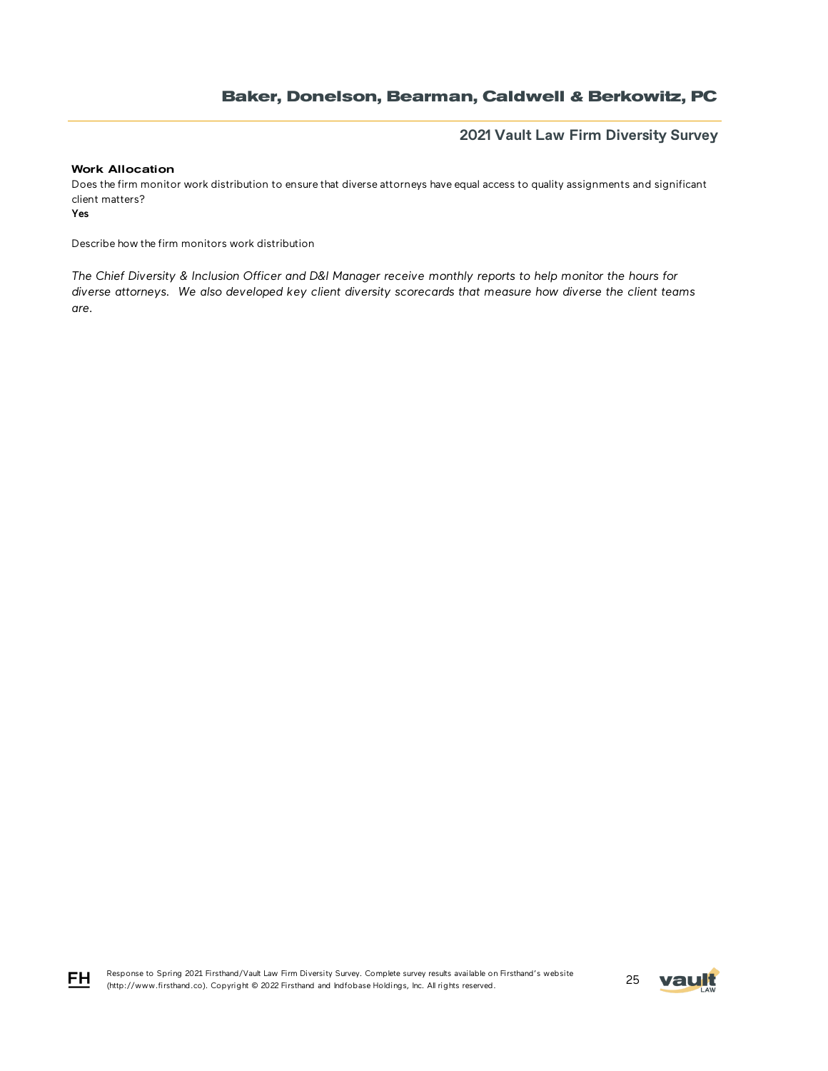## **2021 Vault Law Firm Diversity Survey**

#### Work Allocation

Does the firm monitor work distribution to ensure that diverse attorneys have equal access to quality assignments and significant client matters?

Yes

Describe how the firm monitors work distribution

*The Chief Diversity & Inclusion Officer and D&I Manager receive monthly reports to help monitor the hours for diverse attorneys. We also developed key client diversity scorecards that measure how diverse the client teams are.*



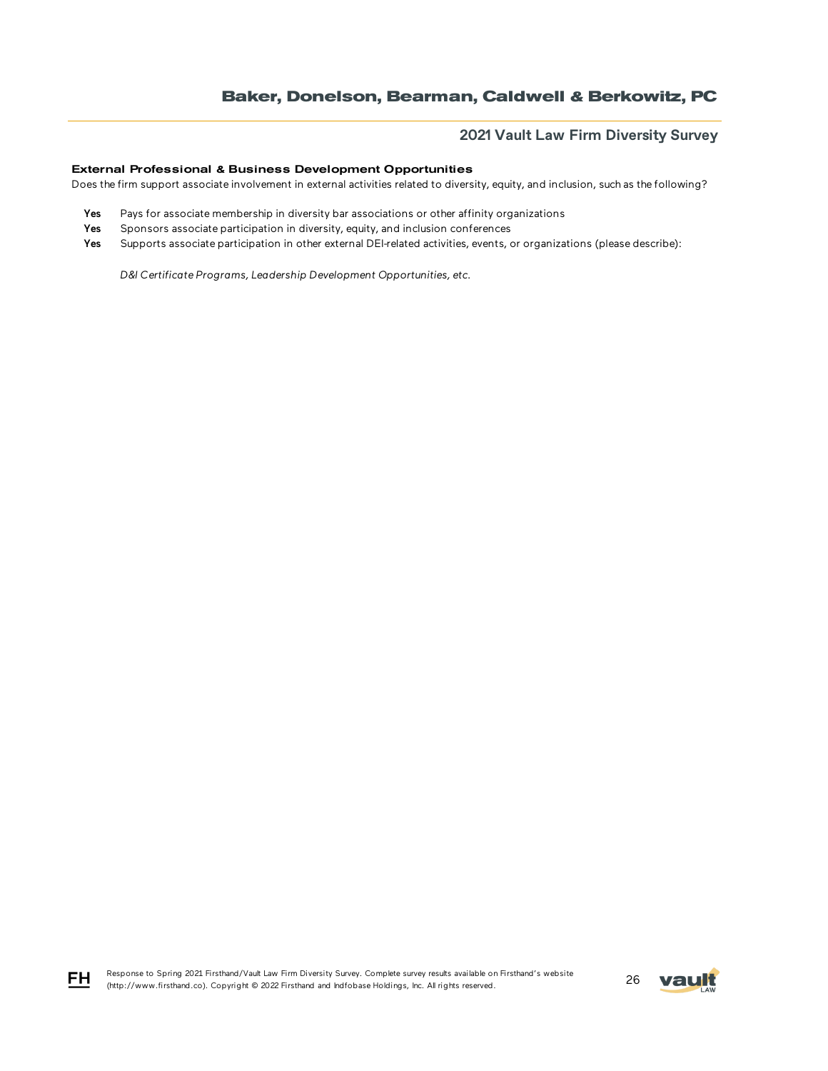## **2021 Vault Law Firm Diversity Survey**

### External Professional & Business Development Opportunities

Does the firm support associate involvement in external activities related to diversity, equity, and inclusion, such as the following?

- Yes Pays for associate membership in diversity bar associations or other affinity organizations
- Yes Sponsors associate participation in diversity, equity, and inclusion conferences
- Yes Supports associate participation in other external DEI-related activities, events, or organizations (please describe):

*D&I Certificate Programs, Leadership Development Opportunities, etc.*





FH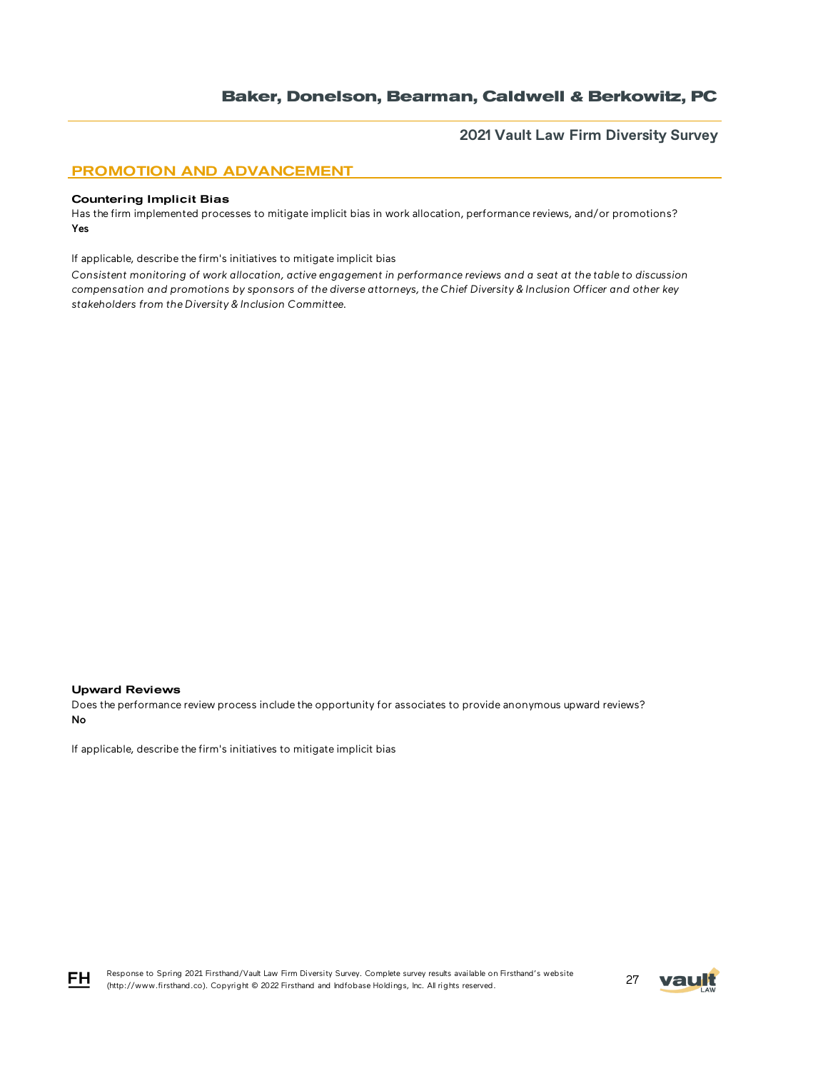**2021 Vault Law Firm Diversity Survey**

### PROMOTION AND ADVANCEMENT

#### Countering Implicit Bias

Has the firm implemented processes to mitigate implicit bias in work allocation, performance reviews, and/or promotions? Yes

If applicable, describe the firm's initiatives to mitigate implicit bias

*Consistent monitoring of work allocation, active engagement in performance reviews and a seat at the table to discussion compensation and promotions by sponsors of the diverse attorneys, the Chief Diversity & Inclusion Officer and other key stakeholders from the Diversity & Inclusion Committee.*

#### Upward Reviews

Does the performance review process include the opportunity for associates to provide anonymous upward reviews? No

If applicable, describe the firm's initiatives to mitigate implicit bias



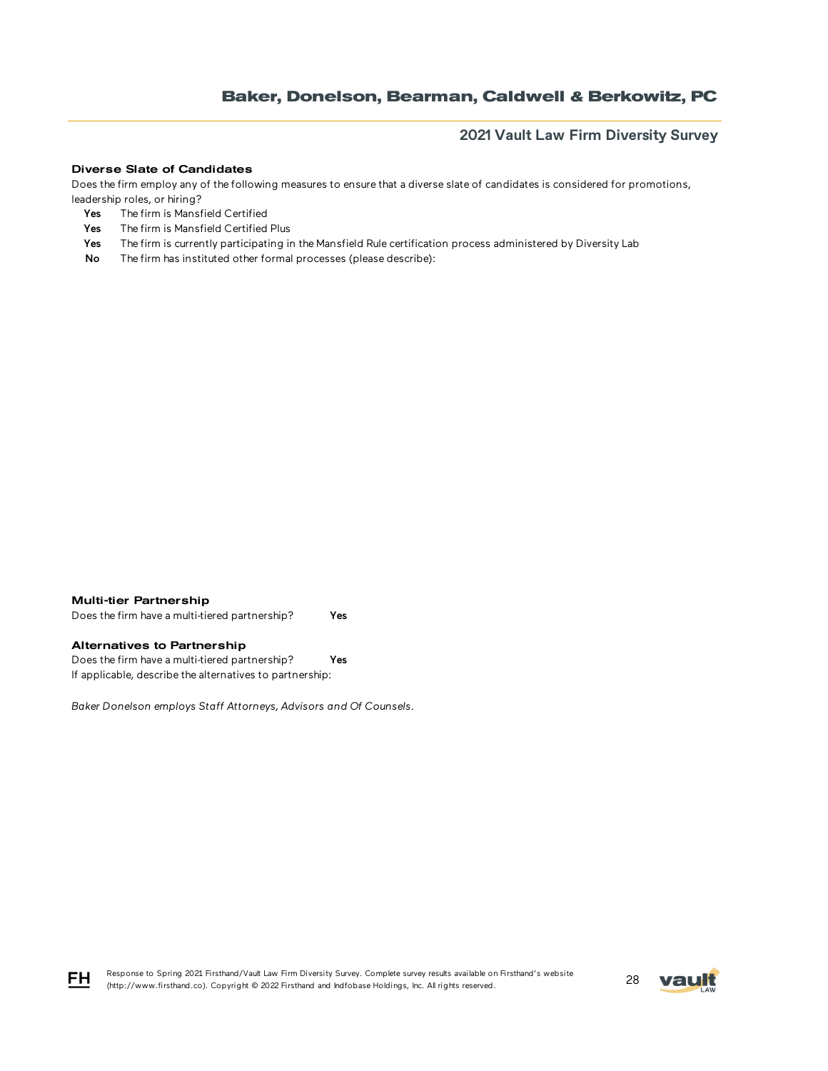## **2021 Vault Law Firm Diversity Survey**

#### Diverse Slate of Candidates

Does the firm employ any of the following measures to ensure that a diverse slate of candidates is considered for promotions, leadership roles, or hiring?

- Yes The firm is Mansfield Certified
- Yes The firm is Mansfield Certified Plus
- Yes The firm is currently participating in the Mansfield Rule certification process administered by Diversity Lab
- No The firm has instituted other formal processes (please describe):



Does the firm have a multi-tiered partnership? Yes

### Alternatives to Partnership

Does the firm have a multi-tiered partnership? Yes If applicable, describe the alternatives to partnership:

*Baker Donelson employs Staff Attorneys, Advisors and Of Counsels.*



Response to Spring 2021 Firsthand/Vault Law Firm Diversity Survey. Complete survey results available on Firsthand's website Response to Spring 2021 Firsthand/vault Law Firm Diversity Survey. Complete survey results available on Firsthand's website<br>(http://www.firsthand.co). Copyright © 2022 Firsthand and Indfobase Holdings, Inc. All rights rese

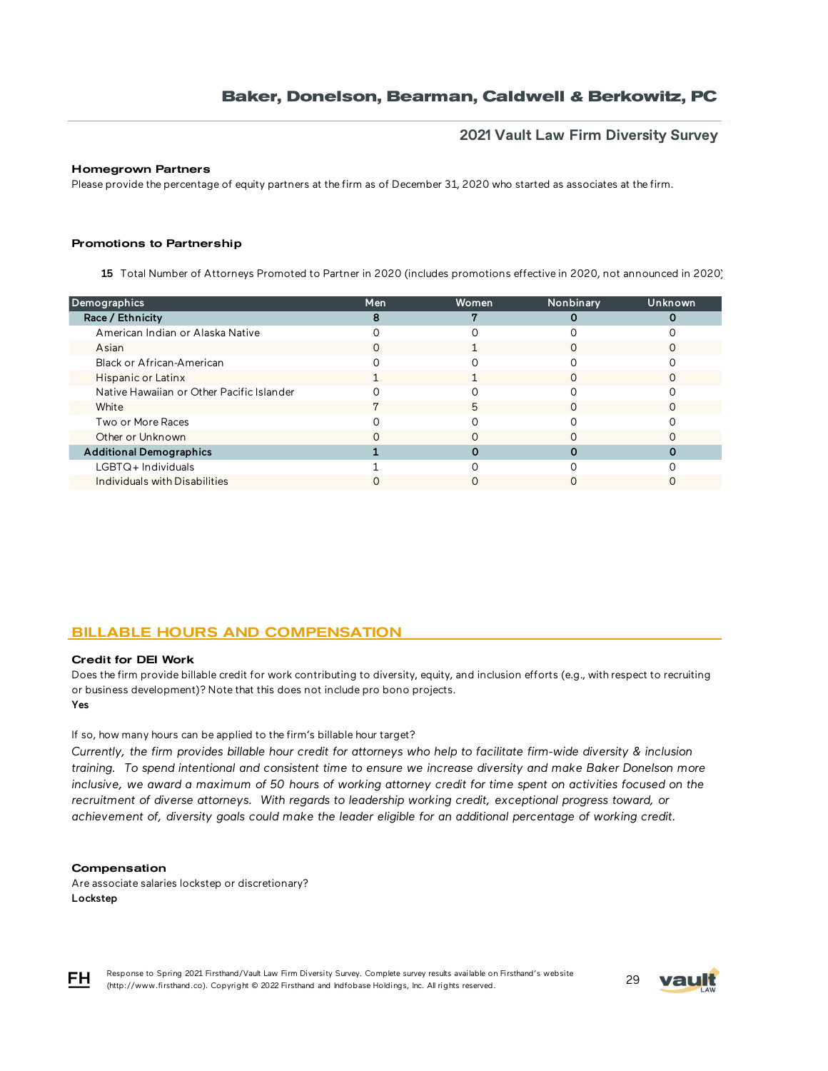## **2021 Vault Law Firm Diversity Survey**

### Homegrown Partners

Please provide the percentage of equity partners at the firm as of December 31, 2020 who started as associates at the firm.

#### Promotions to Partnership

15 Total Number of Attorneys Promoted to Partner in 2020 (includes promotions effective in 2020, not announced in 2020)

| Demographics                              | Men | Women | Nonbinary | Unknown |
|-------------------------------------------|-----|-------|-----------|---------|
| Race / Ethnicity                          |     |       |           |         |
| American Indian or Alaska Native          |     |       |           |         |
| Asian                                     | ი   |       |           |         |
| Black or African-American                 |     |       |           |         |
| Hispanic or Latinx                        |     |       |           |         |
| Native Hawaiian or Other Pacific Islander |     |       |           |         |
| White                                     |     | 5     |           |         |
| Two or More Races                         |     |       |           |         |
| Other or Unknown                          |     |       |           |         |
| <b>Additional Demographics</b>            |     |       |           |         |
| $LGBTQ+$ Individuals                      |     |       |           |         |
| Individuals with Disabilities             |     |       |           |         |
|                                           |     |       |           |         |

### BILLABLE HOURS AND COMPENSATION

#### Credit for DEI Work

Yes Does the firm provide billable credit for work contributing to diversity, equity, and inclusion efforts (e.g., with respect to recruiting or business development)? Note that this does not include pro bono projects.

If so, how many hours can be applied to the firm's billable hour target?

*Currently, the firm provides billable hour credit for attorneys who help to facilitate firm-wide diversity & inclusion training. To spend intentional and consistent time to ensure we increase diversity and make Baker Donelson more inclusive, we award a maximum of 50 hours of working attorney credit for time spent on activities focused on the*  recruitment of diverse attorneys. With regards to leadership working credit, exceptional progress toward, or *achievement of, diversity goals could make the leader eligible for an additional percentage of working credit.*

#### **Compensation**

Are associate salaries lockstep or discretionary? Lockstep



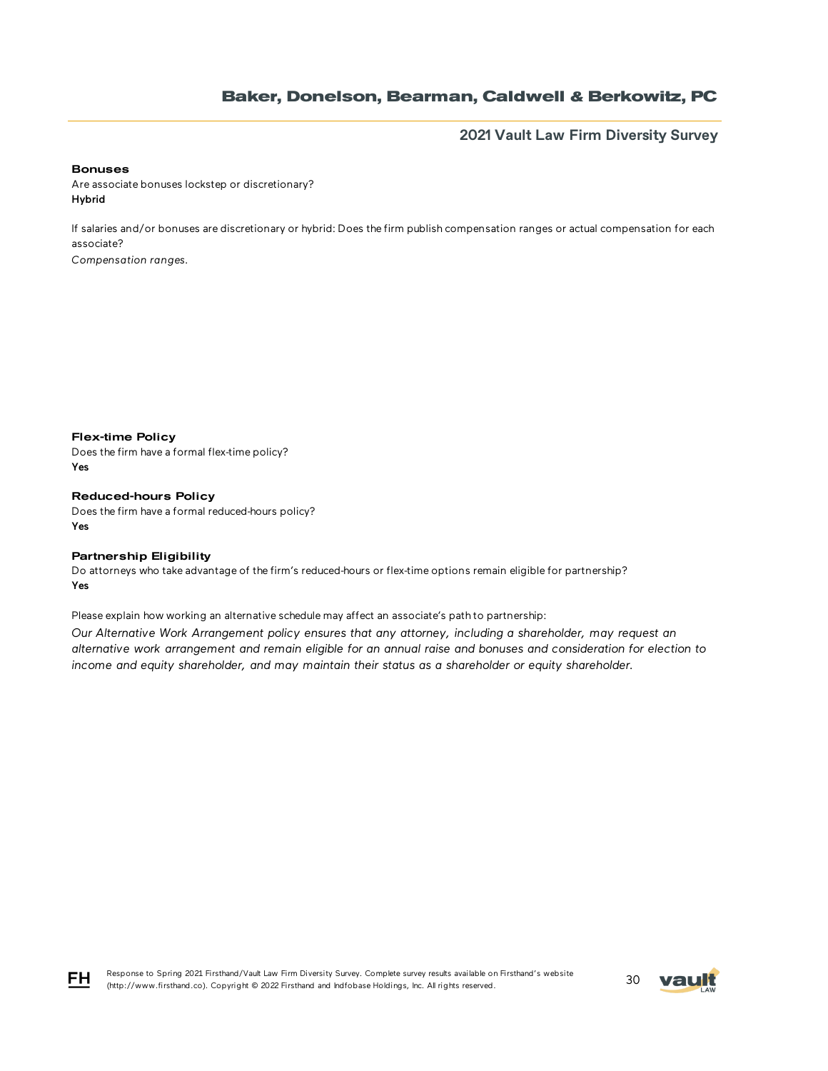**2021 Vault Law Firm Diversity Survey**

#### Bonuses

Are associate bonuses lockstep or discretionary? Hybrid

If salaries and/or bonuses are discretionary or hybrid: Does the firm publish compensation ranges or actual compensation for each associate?

*Compensation ranges.*

Flex-time Policy

Does the firm have a formal flex-time policy? Yes

Reduced-hours Policy Does the firm have a formal reduced-hours policy? Yes

### Partnership Eligibility

Do attorneys who take advantage of the firm's reduced-hours or flex-time options remain eligible for partnership? Yes

Please explain how working an alternative schedule may affect an associate's path to partnership:

*Our Alternative Work Arrangement policy ensures that any attorney, including a shareholder, may request an alternative work arrangement and remain eligible for an annual raise and bonuses and consideration for election to income and equity shareholder, and may maintain their status as a shareholder or equity shareholder.*



Response to Spring 2021 Firsthand/Vault Law Firm Diversity Survey. Complete survey results available on Firsthand's website Response to Spring 2021 Firsthand/Vault Law Firm Diversity Survey. Complete survey results available on Firsthand's website<br>(http://www.firsthand.co). Copyright © 2022 Firsthand and Indfobase Holdings, Inc. All rights rese

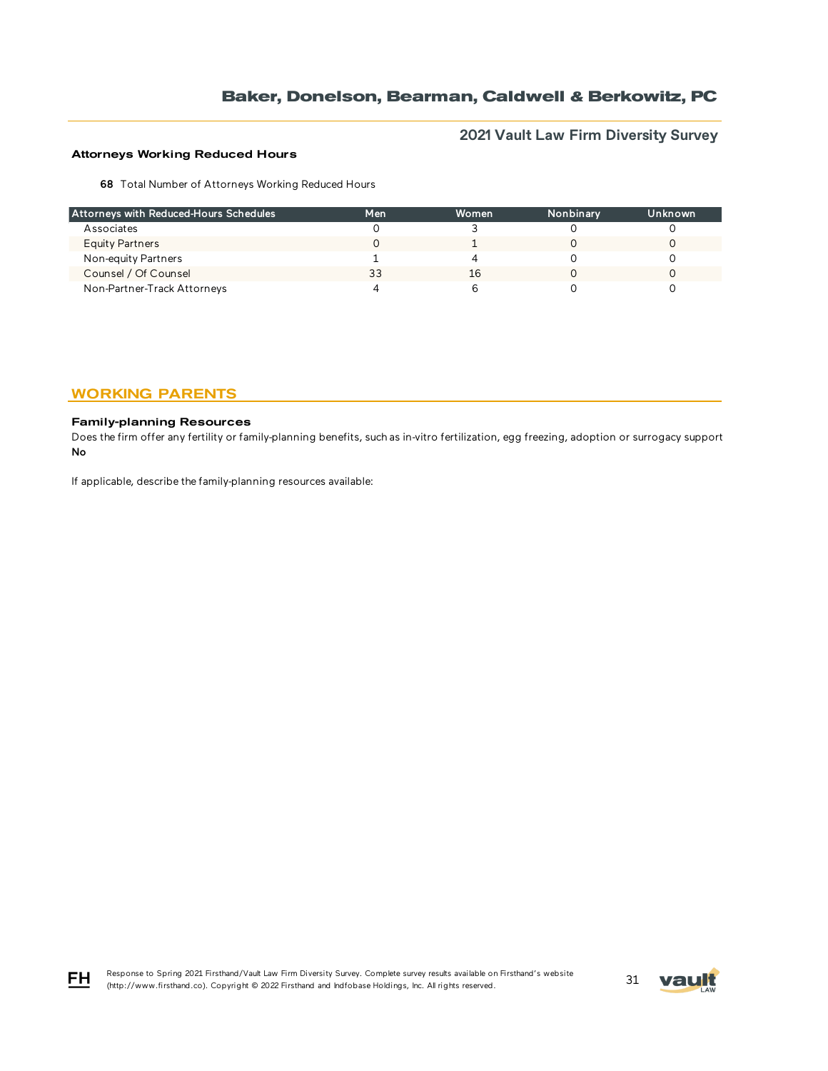# **2021 Vault Law Firm Diversity Survey**

### Attorneys Working Reduced Hours

68 Total Number of Attorneys Working Reduced Hours

| Attorneys with Reduced-Hours Schedules | Men | Women | Nonbinary | Unknown |
|----------------------------------------|-----|-------|-----------|---------|
| Associates                             |     |       |           |         |
| Equity Partners                        |     |       |           |         |
| Non-equity Partners                    |     |       |           |         |
| Counsel / Of Counsel                   | 33  | 16    |           |         |
| Non-Partner-Track Attorneys            |     |       |           |         |

## WORKING PARENTS

### Family-planning Resources

 $FH$ 

Does the firm offer any fertility or family-planning benefits, such as in-vitro fertilization, egg freezing, adoption or surrogacy support? No

If applicable, describe the family-planning resources available:

Response to Spring 2021 Firsthand/Vault Law Firm Diversity Survey. Complete survey results available on Firsthand's website (http://www.firsthand.co). Copyright © 2022 Firsthand and Indfobase Holdings, Inc. All rights reserved. 31

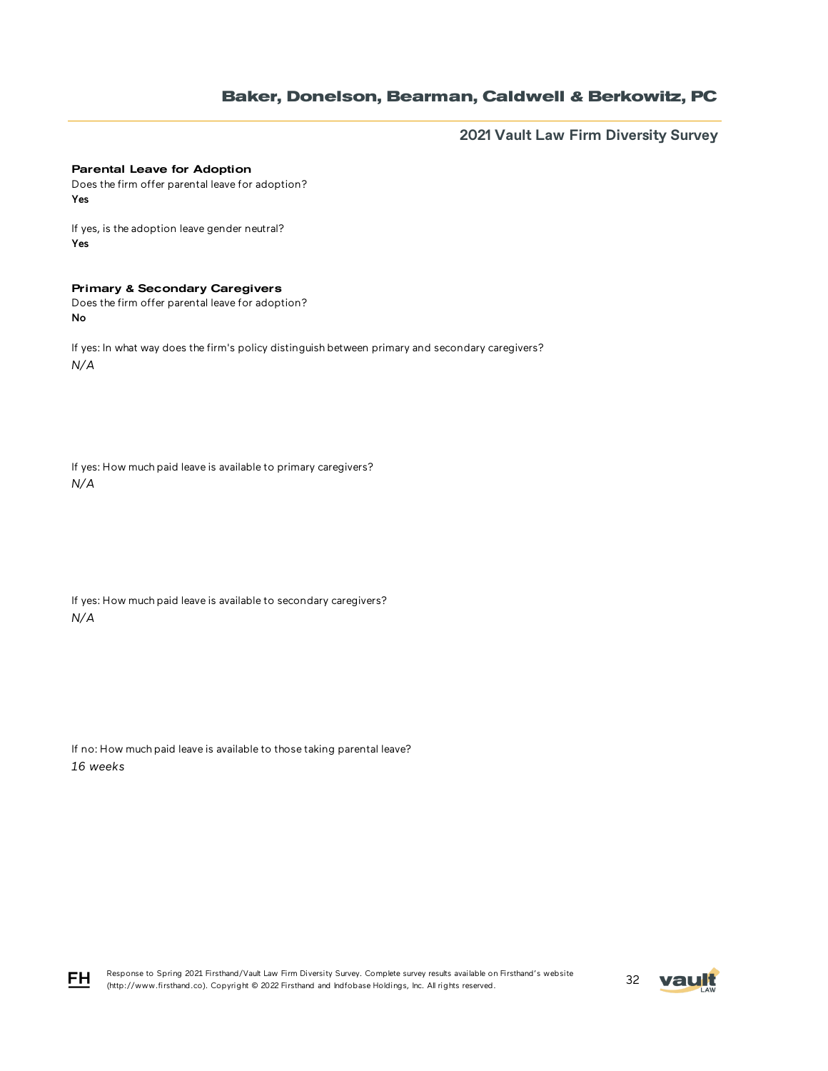**2021 Vault Law Firm Diversity Survey**

#### Parental Leave for Adoption

Does the firm offer parental leave for adoption? Yes

If yes, is the adoption leave gender neutral? Yes

### Primary & Secondary Caregivers

Does the firm offer parental leave for adoption? No

If yes: In what way does the firm's policy distinguish between primary and secondary caregivers? *N/A*

If yes: How much paid leave is available to primary caregivers? *N/A*

If yes: How much paid leave is available to secondary caregivers? *N/A*

If no: How much paid leave is available to those taking parental leave? *16 weeks*



FH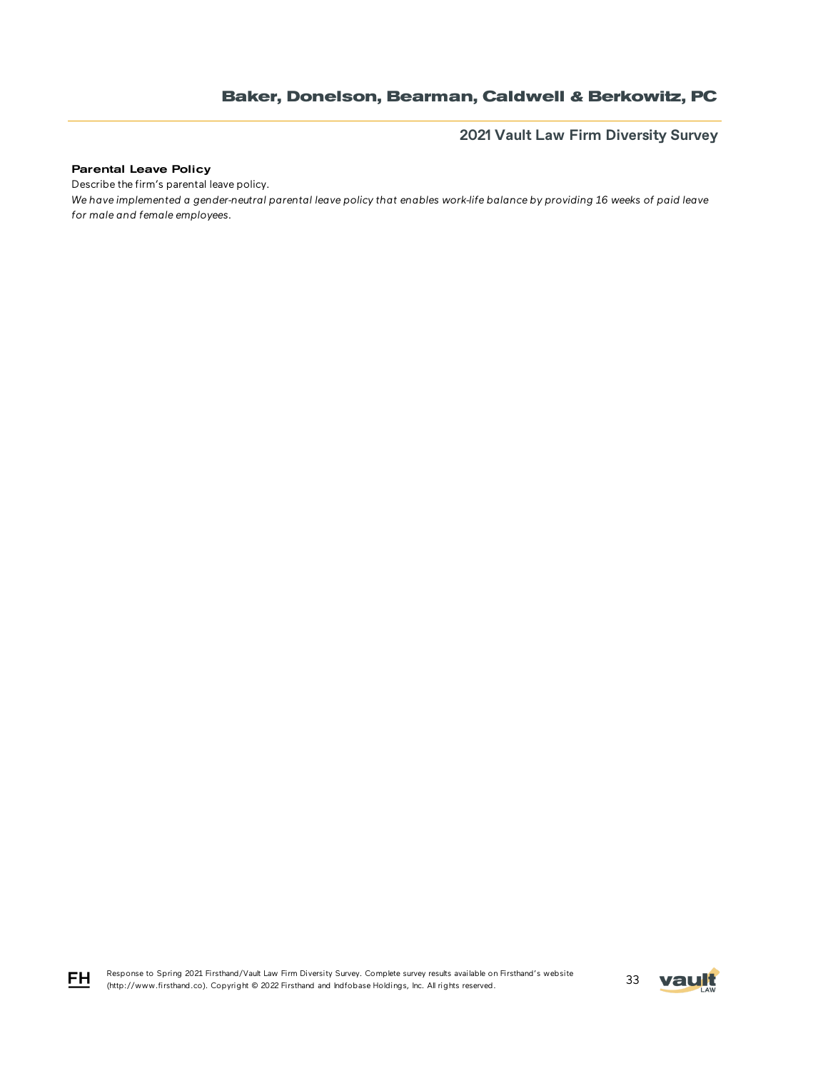**2021 Vault Law Firm Diversity Survey**

### Parental Leave Policy

Describe the firm's parental leave policy.

*We have implemented a gender-neutral parental leave policy that enables work-life balance by providing 16 weeks of paid leave for male and female employees.*

Response to Spring 2021 Firsthand/Vault Law Firm Diversity Survey. Complete survey results available on Firsthand's website Response to Spring 2021 Firstnand/Vault Law Firm Diversity Survey. Complete survey results available on Firstnand's website<br>(http://www.firsthand.co). Copyright © 2022 Firsthand and Indfobase Holdings, Inc. All rights rese



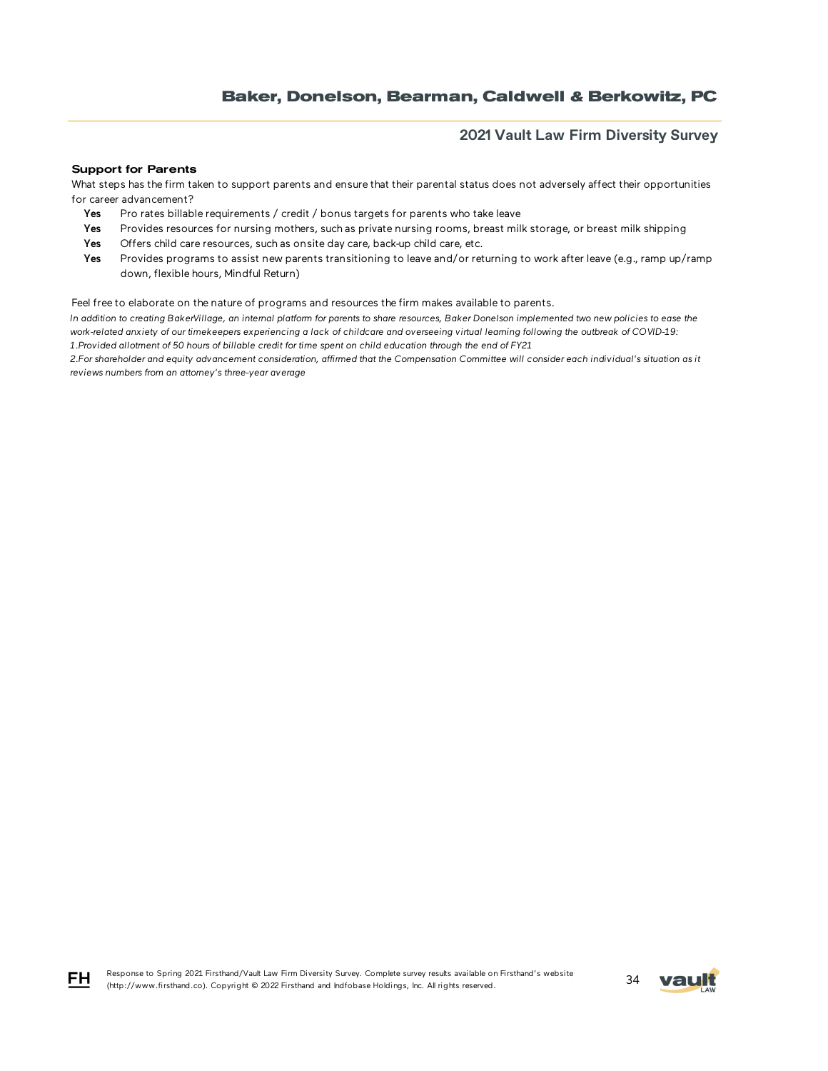## **2021 Vault Law Firm Diversity Survey**

#### Support for Parents

What steps has the firm taken to support parents and ensure that their parental status does not adversely affect their opportunities for career advancement?

- Yes Pro rates billable requirements / credit / bonus targets for parents who take leave
- Yes Provides resources for nursing mothers, such as private nursing rooms, breast milk storage, or breast milk shipping
- Yes Offers child care resources, such as onsite day care, back-up child care, etc.
- Yes Provides programs to assist new parents transitioning to leave and/or returning to work after leave (e.g., ramp up/ramp down, flexible hours, Mindful Return)

Feel free to elaborate on the nature of programs and resources the firm makes available to parents.

*In addition to creating BakerVillage, an internal platform for parents to share resources, Baker Donelson implemented two new policies to ease the work-related anxiety of our timekeepers experiencing a lack of childcare and overseeing virtual learning following the outbreak of COVID-19: 1.Provided allotment of 50 hours of billable credit for time spent on child education through the end of FY21* 

*2.For shareholder and equity advancement consideration, affirmed that the Compensation Committee will consider each individual's situation as it reviews numbers from an attorney's three-year average*



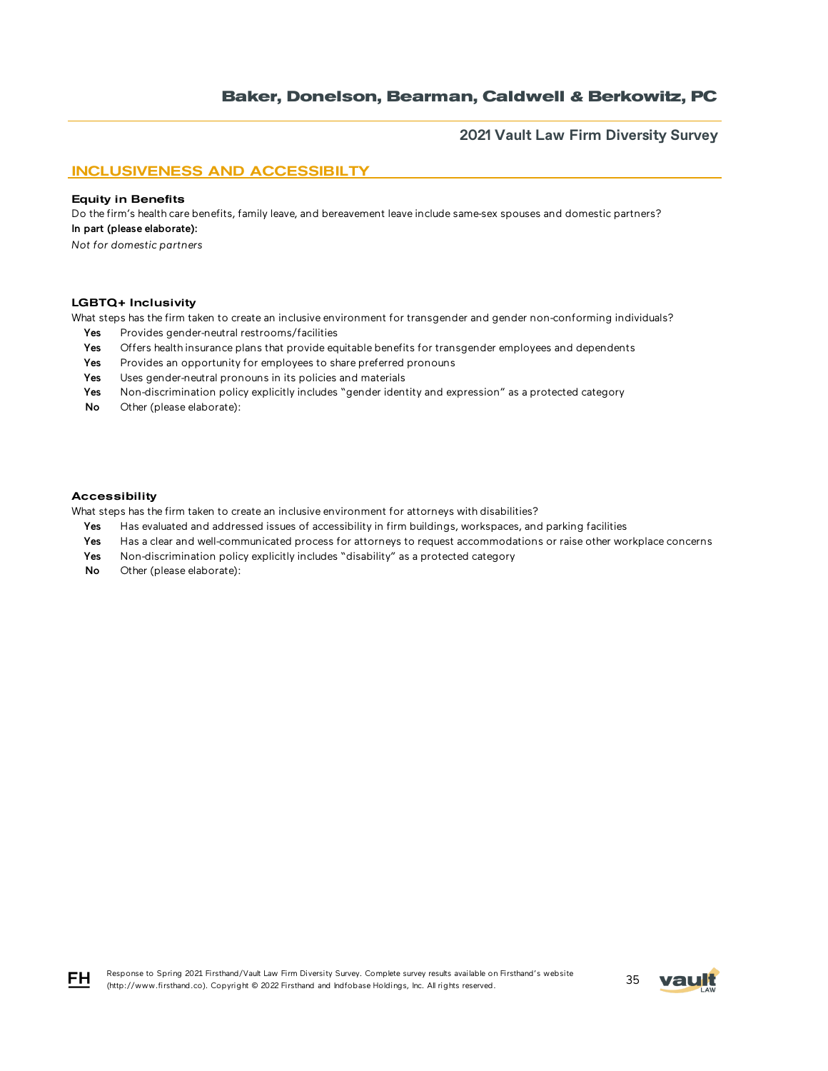**2021 Vault Law Firm Diversity Survey**

## INCLUSIVENESS AND ACCESSIBILTY

#### Equity in Benefits

Do the firm's health care benefits, family leave, and bereavement leave include same-sex spouses and domestic partners? In part (please elaborate):

*Not for domestic partners*

#### LGBTQ+ Inclusivity

What steps has the firm taken to create an inclusive environment for transgender and gender non-conforming individuals?

- Yes Provides gender-neutral restrooms/facilities
- Yes Offers health insurance plans that provide equitable benefits for transgender employees and dependents
- Yes Provides an opportunity for employees to share preferred pronouns
- Yes Uses gender-neutral pronouns in its policies and materials
- Yes Non-discrimination policy explicitly includes "gender identity and expression" as a protected category
- No Other (please elaborate):

#### Accessibility

What steps has the firm taken to create an inclusive environment for attorneys with disabilities?

- Yes Has evaluated and addressed issues of accessibility in firm buildings, workspaces, and parking facilities
- Yes Has a clear and well-communicated process for attorneys to request accommodations or raise other workplace concerns
- Yes Non-discrimination policy explicitly includes "disability" as a protected category
- No Other (please elaborate):



FH.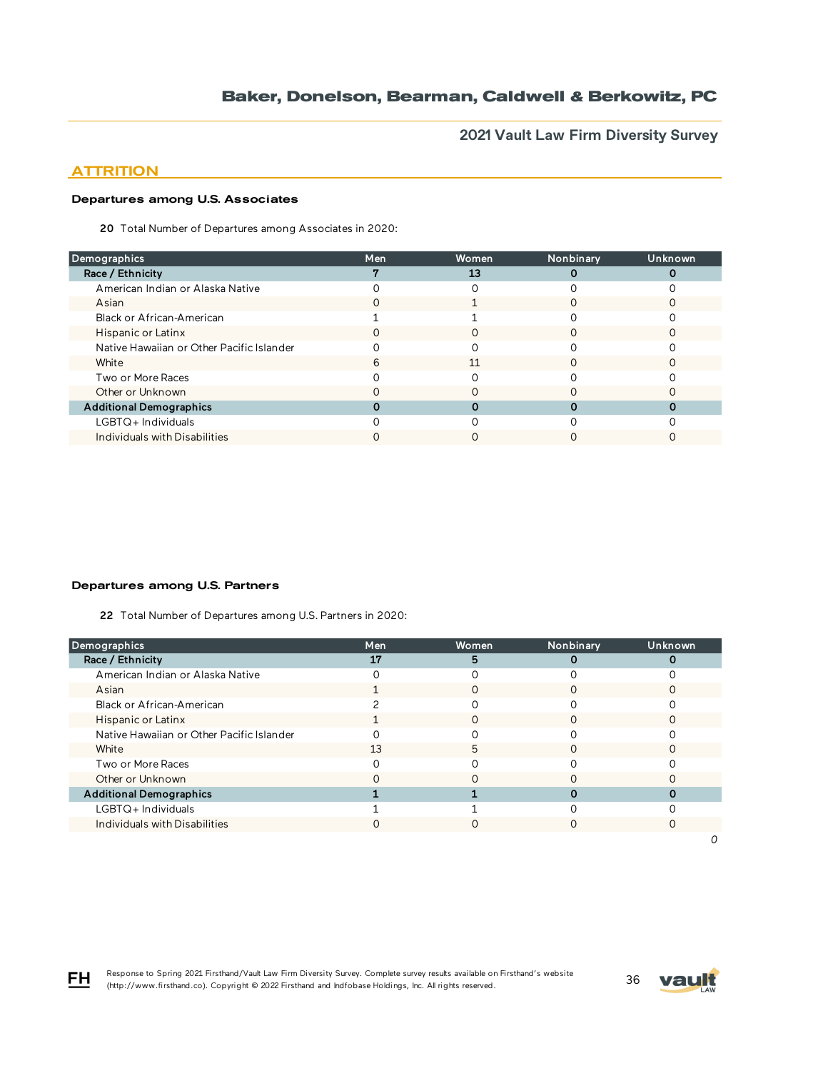**2021 Vault Law Firm Diversity Survey**

## **ATTRITION**

## Departures among U.S. Associates

20 Total Number of Departures among Associates in 2020:

| <b>Demographics</b>                       | Men          | Women | Nonbinary | Unknown |
|-------------------------------------------|--------------|-------|-----------|---------|
| Race / Ethnicity                          |              | 13    |           |         |
| American Indian or Alaska Native          |              |       |           |         |
| Asian                                     |              |       |           |         |
| Black or African-American                 |              |       |           |         |
| Hispanic or Latinx                        | $\mathbf{U}$ | O     |           |         |
| Native Hawaiian or Other Pacific Islander |              |       |           |         |
| White                                     | 6            | 11    |           |         |
| Two or More Races                         |              |       |           |         |
| Other or Unknown                          |              |       |           |         |
| <b>Additional Demographics</b>            |              |       |           |         |
| $LGBTQ+$ Individuals                      |              |       |           |         |
| Individuals with Disabilities             |              |       |           |         |

### Departures among U.S. Partners

22 Total Number of Departures among U.S. Partners in 2020:

| <b>Demographics</b>                       | Men | Women | Nonbinary | Unknown |
|-------------------------------------------|-----|-------|-----------|---------|
| Race / Ethnicity                          | 17  | 5     |           |         |
| American Indian or Alaska Native          |     |       |           |         |
| Asian                                     |     |       |           |         |
| Black or African-American                 |     |       |           |         |
| Hispanic or Latinx                        |     |       |           |         |
| Native Hawaiian or Other Pacific Islander |     |       |           |         |
| White                                     | 13  | 5     |           |         |
| Two or More Races                         |     |       |           |         |
| Other or Unknown                          |     |       |           |         |
| <b>Additional Demographics</b>            |     |       |           |         |
| LGBTQ+Individuals                         |     |       |           |         |
| Individuals with Disabilities             |     |       |           |         |
|                                           |     |       |           |         |



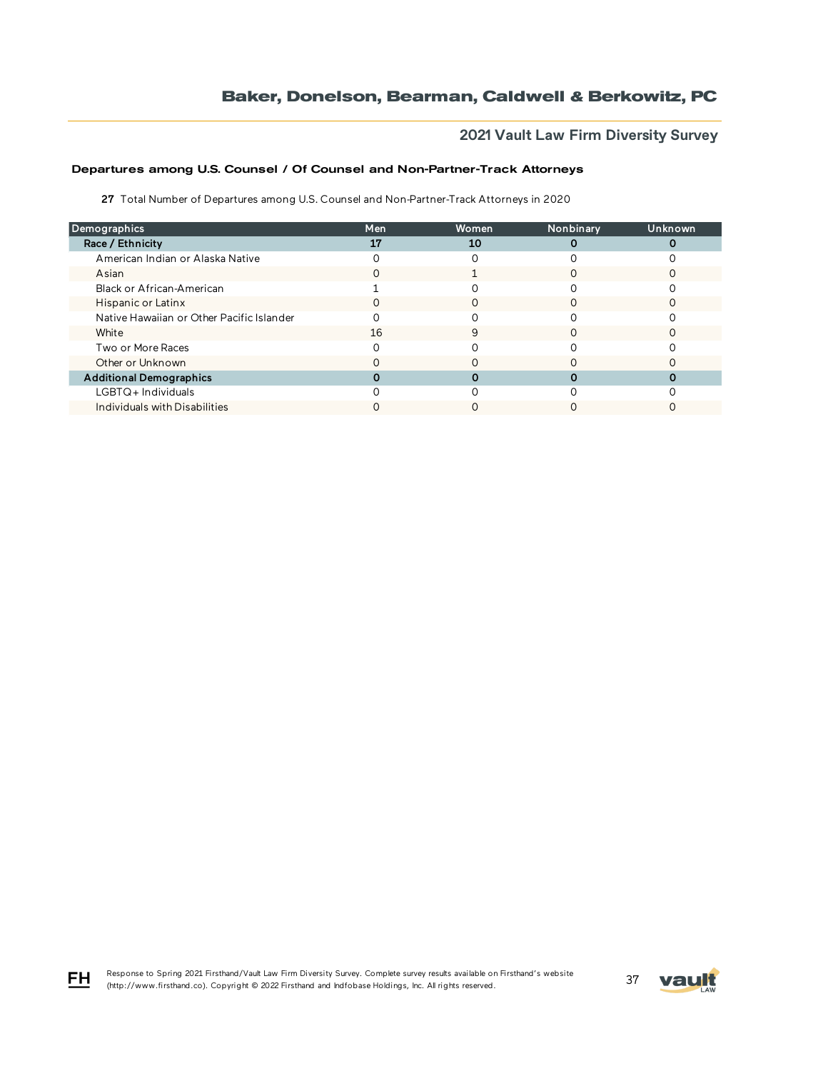# **2021 Vault Law Firm Diversity Survey**

## Departures among U.S. Counsel / Of Counsel and Non-Partner-Track Attorneys

27 Total Number of Departures among U.S. Counsel and Non-Partner-Track Attorneys in 2020

| Demographics                              | Men | Women | Nonbinary | Unknown |
|-------------------------------------------|-----|-------|-----------|---------|
| Race / Ethnicity                          | 17  | 10    |           |         |
| American Indian or Alaska Native          |     |       |           |         |
| Asian                                     | 0   |       |           |         |
| Black or African-American                 |     |       |           |         |
| Hispanic or Latinx                        | O   | Ω     |           |         |
| Native Hawaiian or Other Pacific Islander |     |       |           |         |
| White                                     | 16  | 9     |           |         |
| Two or More Races                         |     |       |           |         |
| Other or Unknown                          |     |       |           |         |
| <b>Additional Demographics</b>            |     |       |           |         |
| LGBTQ+Individuals                         |     |       |           |         |
| Individuals with Disabilities             |     |       |           |         |



FH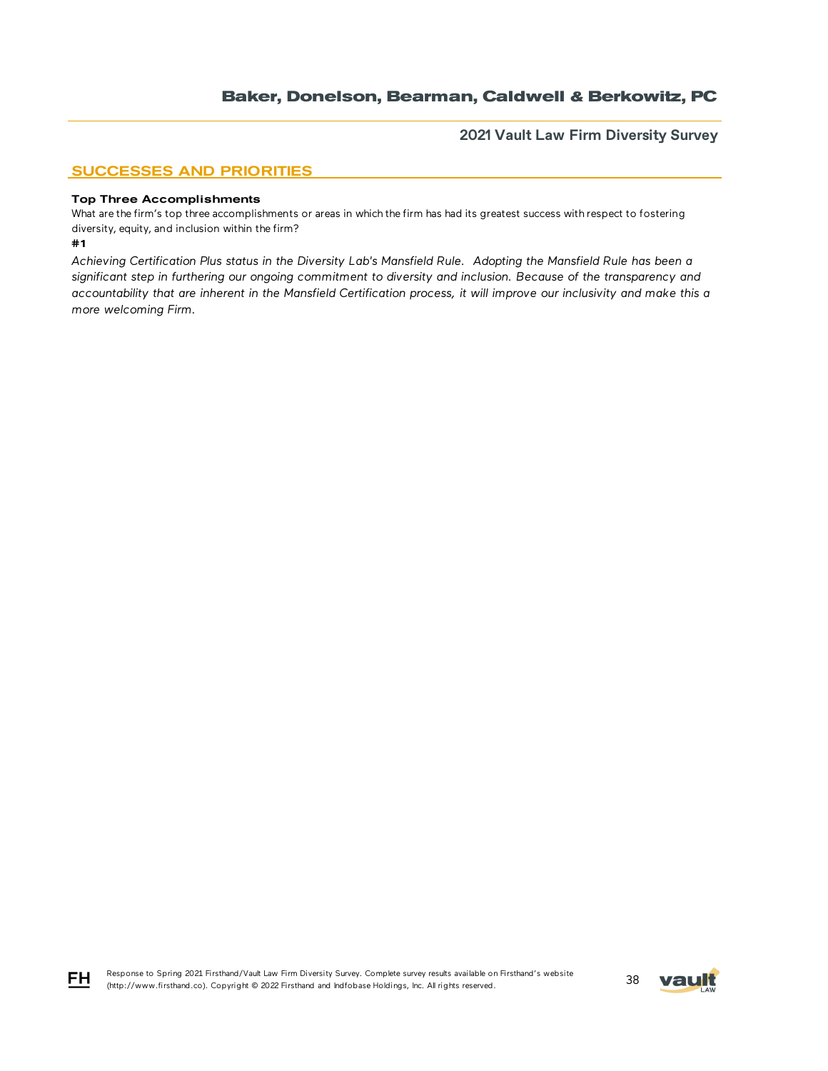**2021 Vault Law Firm Diversity Survey**

## SUCCESSES AND PRIORITIES

#### Top Three Accomplishments

What are the firm's top three accomplishments or areas in which the firm has had its greatest success with respect to fostering diversity, equity, and inclusion within the firm?

#### #1

*Achieving Certification Plus status in the Diversity Lab's Mansfield Rule. Adopting the Mansfield Rule has been a significant step in furthering our ongoing commitment to diversity and inclusion. Because of the transparency and accountability that are inherent in the Mansfield Certification process, it will improve our inclusivity and make this a more welcoming Firm.* 



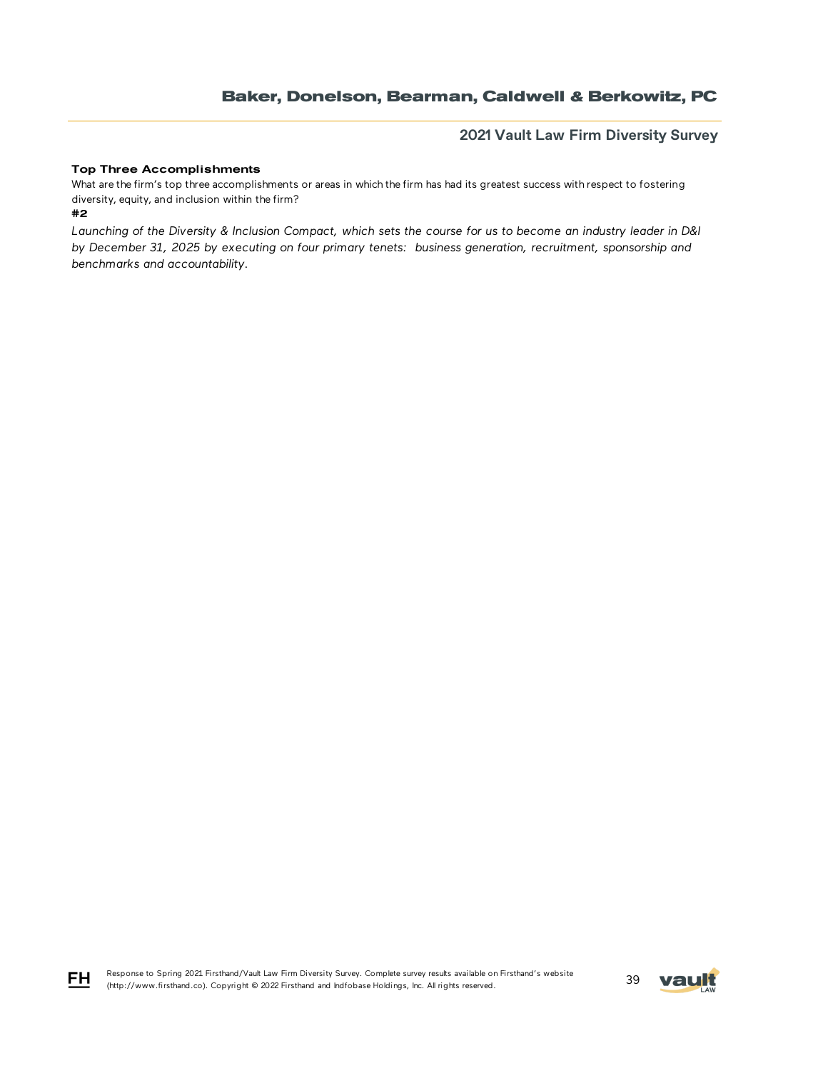## **2021 Vault Law Firm Diversity Survey**

### Top Three Accomplishments

What are the firm's top three accomplishments or areas in which the firm has had its greatest success with respect to fostering diversity, equity, and inclusion within the firm?

#2

*Launching of the Diversity & Inclusion Compact, which sets the course for us to become an industry leader in D&I by December 31, 2025 by executing on four primary tenets: business generation, recruitment, sponsorship and benchmarks and accountability.*



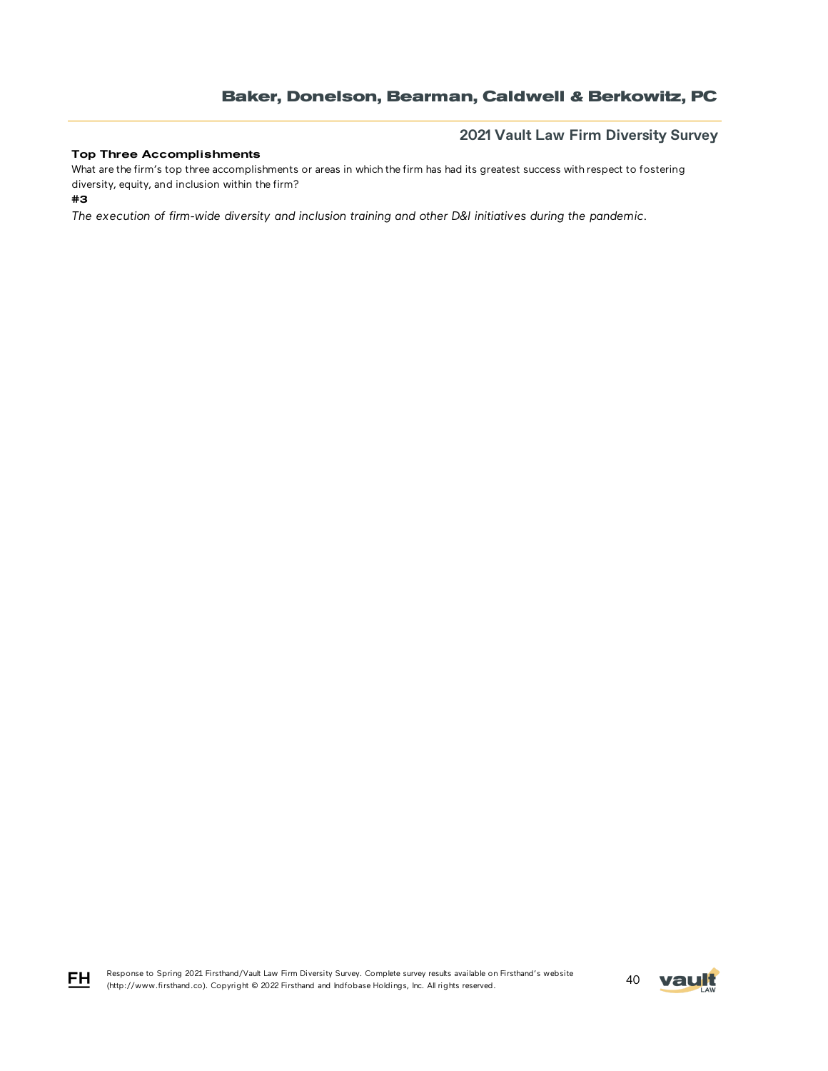### Top Three Accomplishments

## **2021 Vault Law Firm Diversity Survey**

What are the firm's top three accomplishments or areas in which the firm has had its greatest success with respect to fostering diversity, equity, and inclusion within the firm?

#3

*The execution of firm-wide diversity and inclusion training and other D&I initiatives during the pandemic.*

Response to Spring 2021 Firsthand/Vault Law Firm Diversity Survey. Complete survey results available on Firsthand's website FH Response to Spring 2021 Firstnand/Vault Law Firm Diversity Survey. Complete survey results available on Firstnand's website<br>(http://www.firsthand.co). Copyright © 2022 Firsthand and Indfobase Holdings, Inc. All rights rese

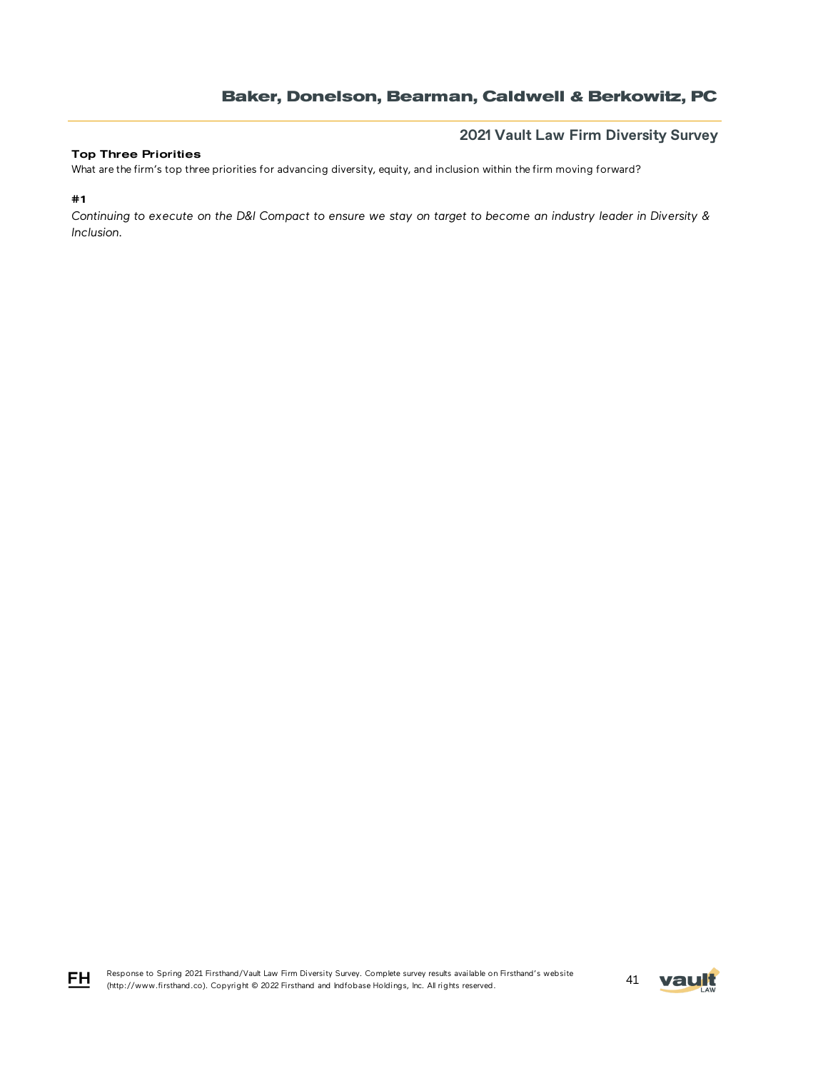### Top Three Priorities

**2021 Vault Law Firm Diversity Survey**

What are the firm's top three priorities for advancing diversity, equity, and inclusion within the firm moving forward?

#1

FH

*Continuing to execute on the D&I Compact to ensure we stay on target to become an industry leader in Diversity & Inclusion.*

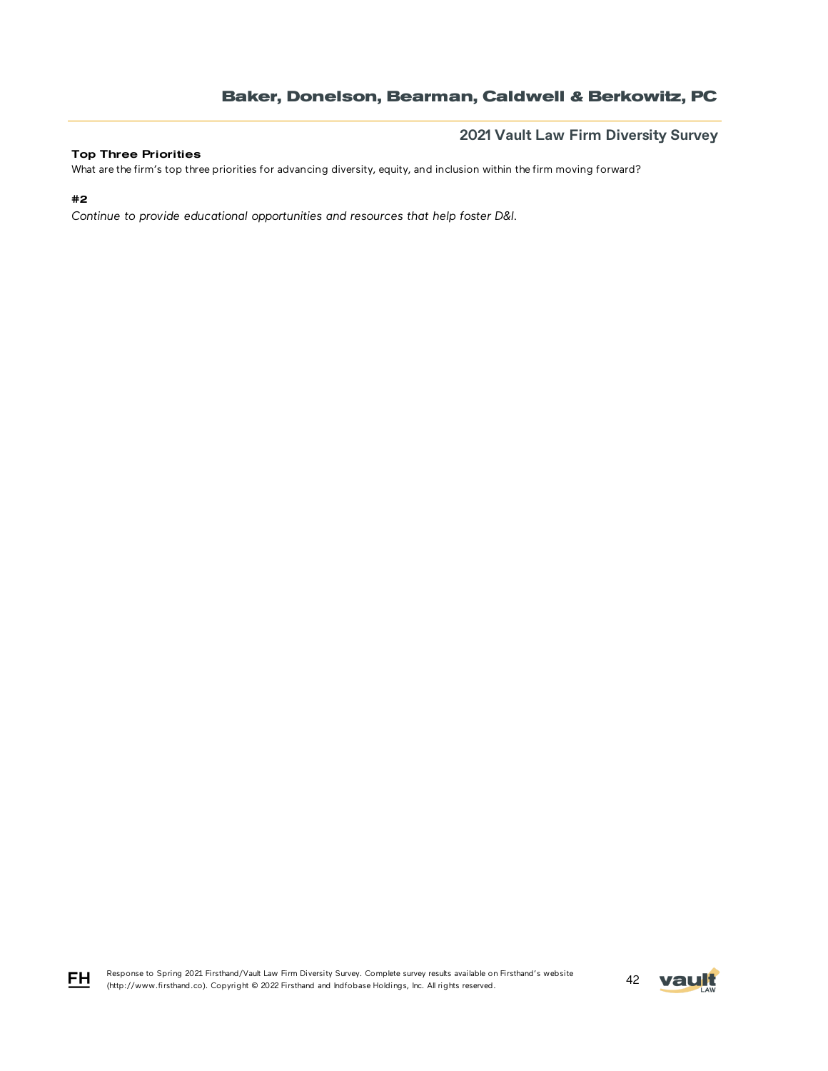### Top Three Priorities

**2021 Vault Law Firm Diversity Survey**

What are the firm's top three priorities for advancing diversity, equity, and inclusion within the firm moving forward?

### #2

FH

*Continue to provide educational opportunities and resources that help foster D&I.*

Response to Spring 2021 Firsthand/Vault Law Firm Diversity Survey. Complete survey results available on Firsthand's website Response to Spring 2021 Firstnand/Vault Law Firm Diversity Survey. Complete survey results available on Firstnand's website<br>(http://www.firsthand.co). Copyright © 2022 Firsthand and Indfobase Holdings, Inc. All rights rese

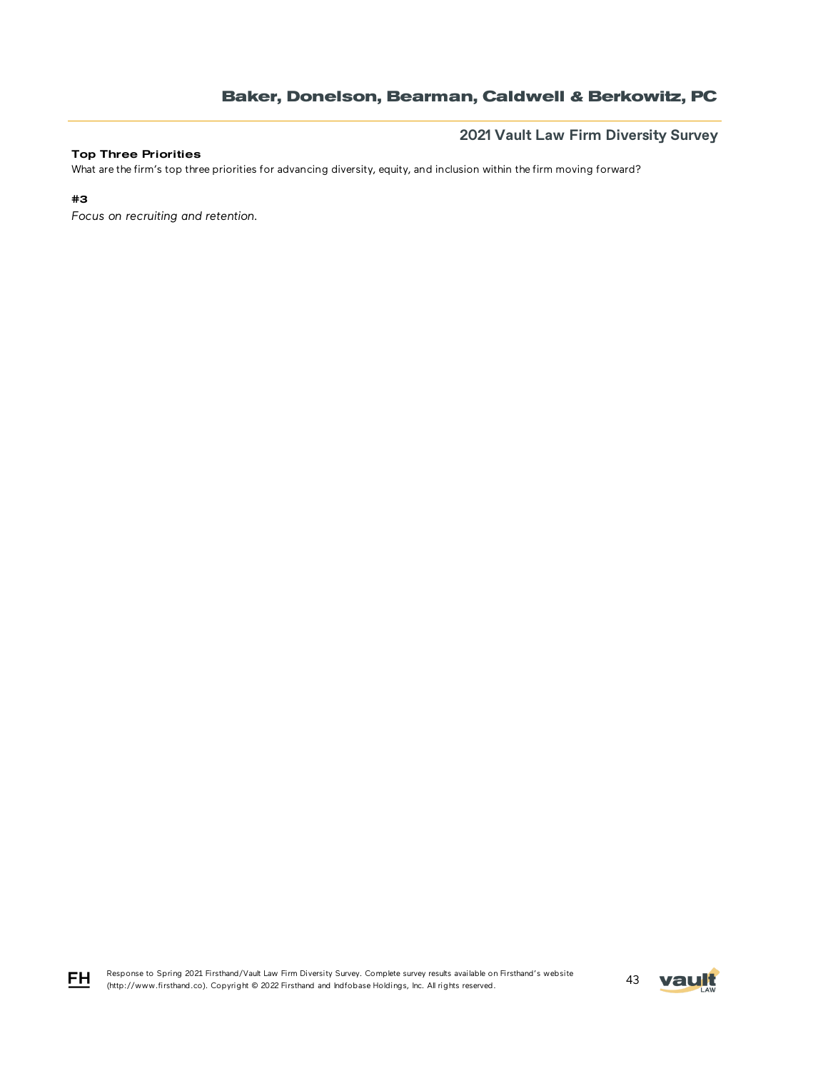### Top Three Priorities

**2021 Vault Law Firm Diversity Survey**

What are the firm's top three priorities for advancing diversity, equity, and inclusion within the firm moving forward?

### #3

FH

*Focus on recruiting and retention.*